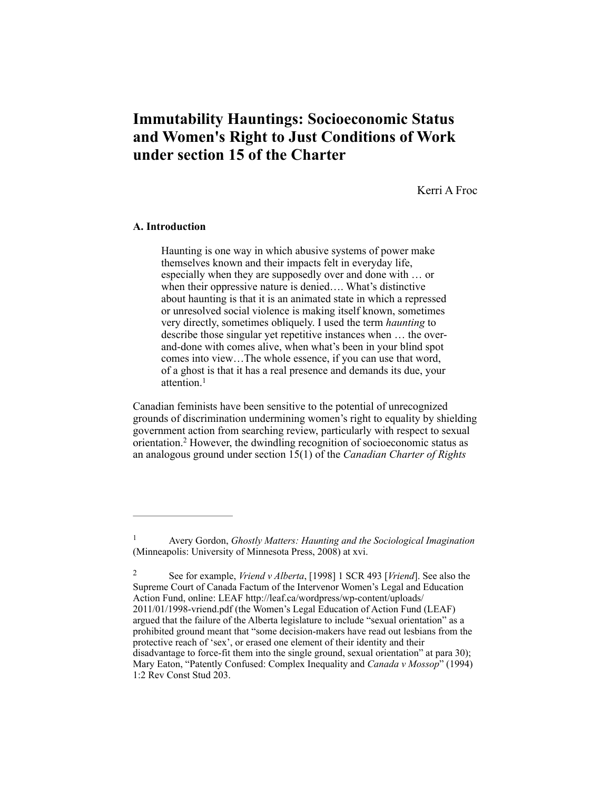# **Immutability Hauntings: Socioeconomic Status and Women's Right to Just Conditions of Work under section 15 of the Charter**

Kerri A Froc

## **A. Introduction**

Haunting is one way in which abusive systems of power make themselves known and their impacts felt in everyday life, especially when they are supposedly over and done with … or when their oppressive nature is denied…. What's distinctive about haunting is that it is an animated state in which a repressed or unresolved social violence is making itself known, sometimes very directly, sometimes obliquely. I used the term *haunting* to describe those singular yet repetitive instances when … the overand-done with comes alive, when what's been in your blind spot comes into view…The whole essence, if you can use that word, of a ghost is that it has a real presence and demands its due, your attention.<sup>1</sup>

Canadian feminists have been sensitive to the potential of unrecognized grounds of discrimination undermining women's right to equality by shielding government action from searching review, particularly with respect to sexual orientation.<sup>2</sup> However, the dwindling recognition of socioeconomic status as an analogous ground under section 15(1) of the *Canadian Charter of Rights* 

Avery Gordon, *Ghostly Matters: Haunting and the Sociological Imagination* <sup>1</sup> (Minneapolis: University of Minnesota Press, 2008) at xvi.

See for example, *Vriend v Alberta*, [1998] 1 SCR 493 [*Vriend*]. See also the 2 Supreme Court of Canada Factum of the Intervenor Women's Legal and Education Action Fund, online: LEAF http://leaf.ca/wordpress/wp-content/uploads/ 2011/01/1998-vriend.pdf (the Women's Legal Education of Action Fund (LEAF) argued that the failure of the Alberta legislature to include "sexual orientation" as a prohibited ground meant that "some decision-makers have read out lesbians from the protective reach of 'sex', or erased one element of their identity and their disadvantage to force-fit them into the single ground, sexual orientation" at para 30); Mary Eaton, "Patently Confused: Complex Inequality and *Canada v Mossop*" (1994) 1:2 Rev Const Stud 203.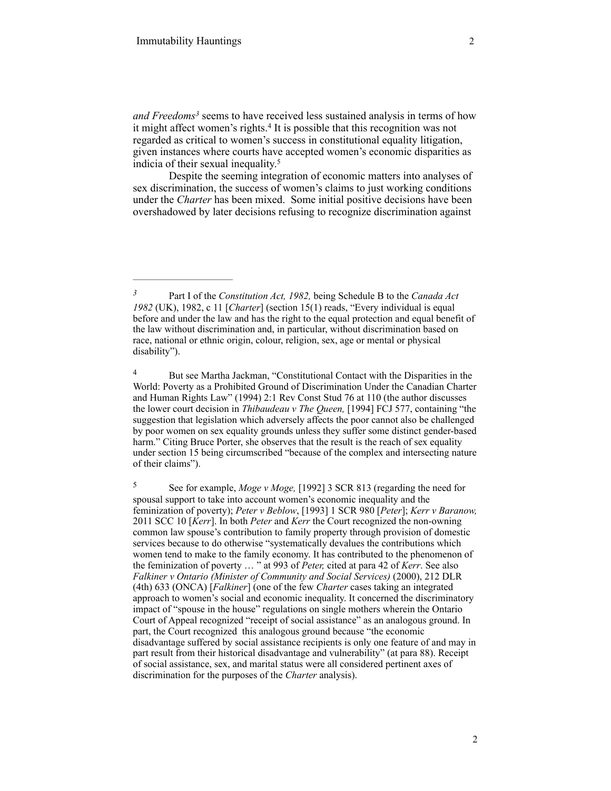and Freedoms<sup>3</sup> seems to have received less sustained analysis in terms of how it might affect women's rights.<sup>4</sup> It is possible that this recognition was not regarded as critical to women's success in constitutional equality litigation, given instances where courts have accepted women's economic disparities as indicia of their sexual inequality. 5

Despite the seeming integration of economic matters into analyses of sex discrimination, the success of women's claims to just working conditions under the *Charter* has been mixed. Some initial positive decisions have been overshadowed by later decisions refusing to recognize discrimination against

<sup>4</sup> But see Martha Jackman, "Constitutional Contact with the Disparities in the World: Poverty as a Prohibited Ground of Discrimination Under the Canadian Charter and Human Rights Law" (1994) 2:1 Rev Const Stud 76 at 110 (the author discusses the lower court decision in *Thibaudeau v The Queen,* [1994] FCJ 577, containing "the suggestion that legislation which adversely affects the poor cannot also be challenged by poor women on sex equality grounds unless they suffer some distinct gender-based harm." Citing Bruce Porter, she observes that the result is the reach of sex equality under section 15 being circumscribed "because of the complex and intersecting nature of their claims").

Part I of the *Constitution Act, 1982,* being Schedule B to the *Canada Act 3 1982* (UK), 1982, c 11 [*Charter*] (section 15(1) reads, "Every individual is equal before and under the law and has the right to the equal protection and equal benefit of the law without discrimination and, in particular, without discrimination based on race, national or ethnic origin, colour, religion, sex, age or mental or physical disability").

See for example, *Moge v Moge,* [1992] 3 SCR 813 (regarding the need for 5 spousal support to take into account women's economic inequality and the feminization of poverty); *Peter v Beblow*, [1993] 1 SCR 980 [*Peter*]; *Kerr v Baranow,*  2011 SCC 10 [*Kerr*]. In both *Peter* and *Kerr* the Court recognized the non-owning common law spouse's contribution to family property through provision of domestic services because to do otherwise "systematically devalues the contributions which women tend to make to the family economy. It has contributed to the phenomenon of the feminization of poverty … " at 993 of *Peter,* cited at para 42 of *Kerr*. See also *Falkiner v Ontario (Minister of Community and Social Services)* (2000), 212 DLR (4th) 633 (ONCA) [*Falkiner*] (one of the few *Charter* cases taking an integrated approach to women's social and economic inequality. It concerned the discriminatory impact of "spouse in the house" regulations on single mothers wherein the Ontario Court of Appeal recognized "receipt of social assistance" as an analogous ground. In part, the Court recognized this analogous ground because "the economic disadvantage suffered by social assistance recipients is only one feature of and may in part result from their historical disadvantage and vulnerability" (at para 88). Receipt of social assistance, sex, and marital status were all considered pertinent axes of discrimination for the purposes of the *Charter* analysis).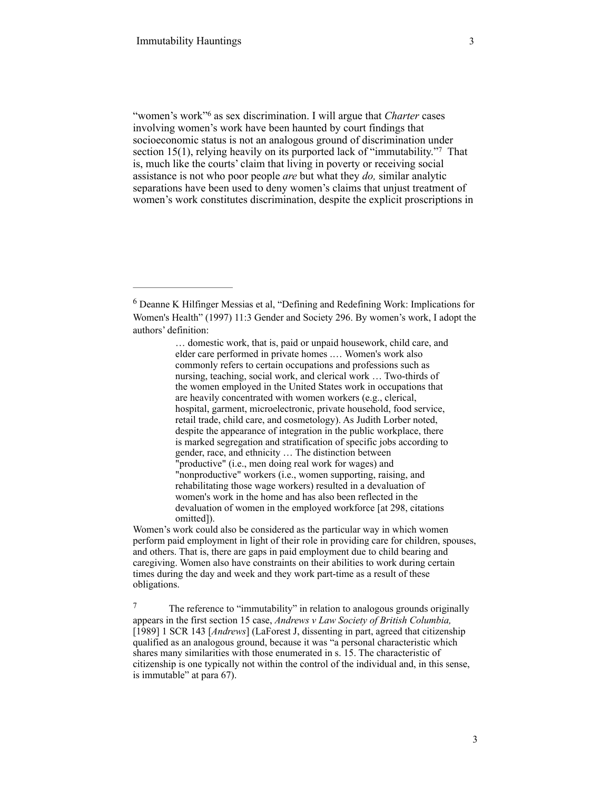"women's work"<sup>6</sup> as sex discrimination. I will argue that *Charter* cases involving women's work have been haunted by court findings that socioeconomic status is not an analogous ground of discrimination under section 15(1), relying heavily on its purported lack of "immutability."<sup>7</sup> That is, much like the courts' claim that living in poverty or receiving social assistance is not who poor people *are* but what they *do,* similar analytic separations have been used to deny women's claims that unjust treatment of women's work constitutes discrimination, despite the explicit proscriptions in

… domestic work, that is, paid or unpaid housework, child care, and elder care performed in private homes .… Women's work also commonly refers to certain occupations and professions such as nursing, teaching, social work, and clerical work … Two-thirds of the women employed in the United States work in occupations that are heavily concentrated with women workers (e.g., clerical, hospital, garment, microelectronic, private household, food service, retail trade, child care, and cosmetology). As Judith Lorber noted, despite the appearance of integration in the public workplace, there is marked segregation and stratification of specific jobs according to gender, race, and ethnicity … The distinction between "productive" (i.e., men doing real work for wages) and "nonproductive" workers (i.e., women supporting, raising, and rehabilitating those wage workers) resulted in a devaluation of women's work in the home and has also been reflected in the devaluation of women in the employed workforce [at 298, citations omitted]).

Women's work could also be considered as the particular way in which women perform paid employment in light of their role in providing care for children, spouses, and others. That is, there are gaps in paid employment due to child bearing and caregiving. Women also have constraints on their abilities to work during certain times during the day and week and they work part-time as a result of these obligations.

<sup>7</sup> The reference to "immutability" in relation to analogous grounds originally appears in the first section 15 case, *Andrews v Law Society of British Columbia,*  [1989] 1 SCR 143 [*Andrews*] (LaForest J, dissenting in part, agreed that citizenship qualified as an analogous ground, because it was "a personal characteristic which shares many similarities with those enumerated in s. 15. The characteristic of citizenship is one typically not within the control of the individual and, in this sense, is immutable" at para 67).

Deanne K Hilfinger Messias et al, "Defining and Redefining Work: Implications for 6 Women's Health" (1997) 11:3 Gender and Society 296. By women's work, I adopt the authors' definition: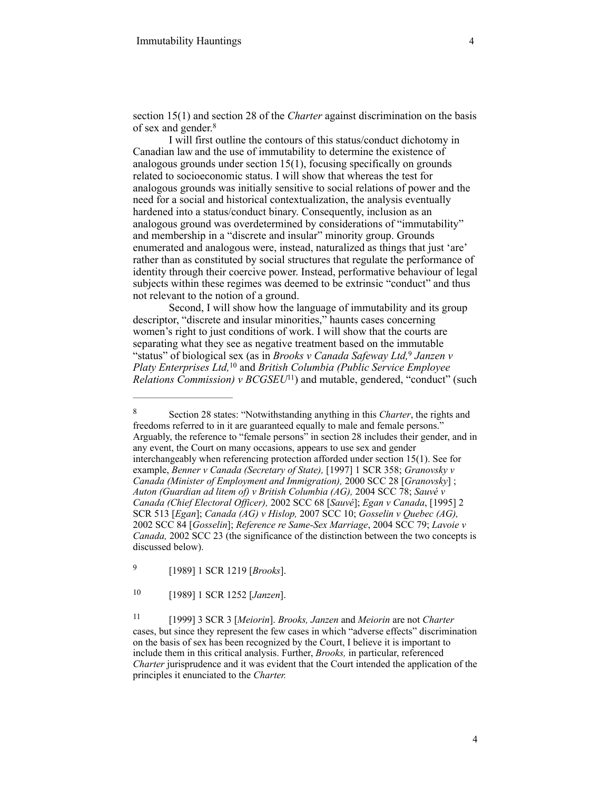section 15(1) and section 28 of the *Charter* against discrimination on the basis of sex and gender. 8

I will first outline the contours of this status/conduct dichotomy in Canadian law and the use of immutability to determine the existence of analogous grounds under section 15(1), focusing specifically on grounds related to socioeconomic status. I will show that whereas the test for analogous grounds was initially sensitive to social relations of power and the need for a social and historical contextualization, the analysis eventually hardened into a status/conduct binary. Consequently, inclusion as an analogous ground was overdetermined by considerations of "immutability" and membership in a "discrete and insular" minority group. Grounds enumerated and analogous were, instead, naturalized as things that just 'are' rather than as constituted by social structures that regulate the performance of identity through their coercive power. Instead, performative behaviour of legal subjects within these regimes was deemed to be extrinsic "conduct" and thus not relevant to the notion of a ground.

Second, I will show how the language of immutability and its group descriptor, "discrete and insular minorities," haunts cases concerning women's right to just conditions of work. I will show that the courts are separating what they see as negative treatment based on the immutable "status" of biological sex (as in *Brooks v Canada Safeway Ltd*,<sup>9</sup> Janzen v *Platy Enterprises Ltd,* <sup>10</sup> and *British Columbia (Public Service Employee Relations Commission)*  $\nu$  *BCGSEU*<sup>11</sup>) and mutable, gendered, "conduct" (such

Section 28 states: "Notwithstanding anything in this *Charter*, the rights and 8 freedoms referred to in it are guaranteed equally to male and female persons." Arguably, the reference to "female persons" in section 28 includes their gender, and in any event, the Court on many occasions, appears to use sex and gender interchangeably when referencing protection afforded under section 15(1). See for example, *Benner v Canada (Secretary of State),* [1997] 1 SCR 358; *Granovsky v Canada (Minister of Employment and Immigration),* 2000 SCC 28 [*Granovsky*] ; *Auton (Guardian ad litem of) v British Columbia (AG),* 2004 SCC 78; *Sauvé v Canada (Chief Electoral Officer),* 2002 SCC 68 [*Sauvé*]; *Egan v Canada*, [1995] 2 SCR 513 [*Egan*]; *Canada (AG) v Hislop,* 2007 SCC 10; *Gosselin v Quebec (AG),*  2002 SCC 84 [*Gosselin*]; *Reference re Same-Sex Marriage*, 2004 SCC 79; *Lavoie v Canada,* 2002 SCC 23 (the significance of the distinction between the two concepts is discussed below).

 <sup>[1989] 1</sup> SCR 1219 [*Brooks*]. <sup>9</sup>

 <sup>[1989] 1</sup> SCR 1252 [*Janzen*]. <sup>10</sup>

 <sup>[1999] 3</sup> SCR 3 [*Meiorin*]. *Brooks, Janzen* and *Meiorin* are not *Charter* <sup>11</sup> cases, but since they represent the few cases in which "adverse effects" discrimination on the basis of sex has been recognized by the Court, I believe it is important to include them in this critical analysis. Further, *Brooks,* in particular, referenced *Charter* jurisprudence and it was evident that the Court intended the application of the principles it enunciated to the *Charter.*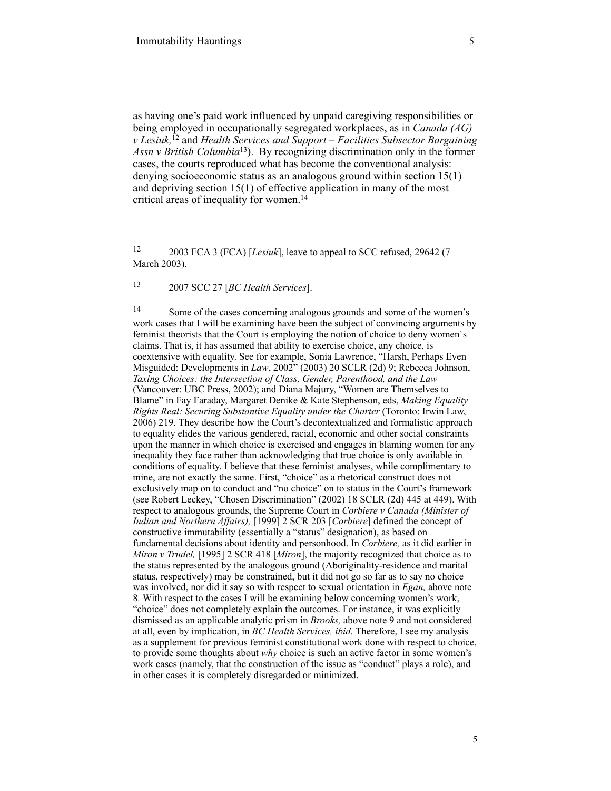as having one's paid work influenced by unpaid caregiving responsibilities or being employed in occupationally segregated workplaces, as in *Canada (AG) v Lesiuk*, <sup> $[2$ </sup> and *Health Services and Support – Facilities Subsector Bargaining Assn v British Columbia*<sup>13</sup>). By recognizing discrimination only in the former cases, the courts reproduced what has become the conventional analysis: denying socioeconomic status as an analogous ground within section 15(1) and depriving section 15(1) of effective application in many of the most critical areas of inequality for women.<sup>14</sup>

2007 SCC 27 [*BC Health Services*]. <sup>13</sup>

<sup>14</sup> Some of the cases concerning analogous grounds and some of the women's work cases that I will be examining have been the subject of convincing arguments by feminist theorists that the Court is employing the notion of choice to deny women`s claims. That is, it has assumed that ability to exercise choice, any choice, is coextensive with equality. See for example, Sonia Lawrence, "Harsh, Perhaps Even Misguided: Developments in *Law*, 2002" (2003) 20 SCLR (2d) 9; Rebecca Johnson, *Taxing Choices: the Intersection of Class, Gender, Parenthood, and the Law* (Vancouver: UBC Press, 2002); and Diana Majury, "Women are Themselves to Blame" in Fay Faraday, Margaret Denike & Kate Stephenson, eds, *Making Equality Rights Real: Securing Substantive Equality under the Charter* (Toronto: Irwin Law, 2006) 219. They describe how the Court's decontextualized and formalistic approach to equality elides the various gendered, racial, economic and other social constraints upon the manner in which choice is exercised and engages in blaming women for any inequality they face rather than acknowledging that true choice is only available in conditions of equality. I believe that these feminist analyses, while complimentary to mine, are not exactly the same. First, "choice" as a rhetorical construct does not exclusively map on to conduct and "no choice" on to status in the Court's framework (see Robert Leckey, "Chosen Discrimination" (2002) 18 SCLR (2d) 445 at 449). With respect to analogous grounds, the Supreme Court in *Corbiere v Canada (Minister of Indian and Northern Affairs),* [1999] 2 SCR 203 [*Corbiere*] defined the concept of constructive immutability (essentially a "status" designation), as based on fundamental decisions about identity and personhood. In *Corbiere,* as it did earlier in *Miron v Trudel,* [1995] 2 SCR 418 [*Miron*], the majority recognized that choice as to the status represented by the analogous ground (Aboriginality-residence and marital status, respectively) may be constrained, but it did not go so far as to say no choice was involved, nor did it say so with respect to sexual orientation in *Egan,* above note 8*.* With respect to the cases I will be examining below concerning women's work, "choice" does not completely explain the outcomes. For instance, it was explicitly dismissed as an applicable analytic prism in *Brooks,* above note 9 and not considered at all, even by implication, in *BC Health Services, ibid*. Therefore, I see my analysis as a supplement for previous feminist constitutional work done with respect to choice, to provide some thoughts about *why* choice is such an active factor in some women's work cases (namely, that the construction of the issue as "conduct" plays a role), and in other cases it is completely disregarded or minimized.

<sup>&</sup>lt;sup>12</sup> 2003 FCA 3 (FCA) [*Lesiuk*], leave to appeal to SCC refused, 29642 (7 March 2003).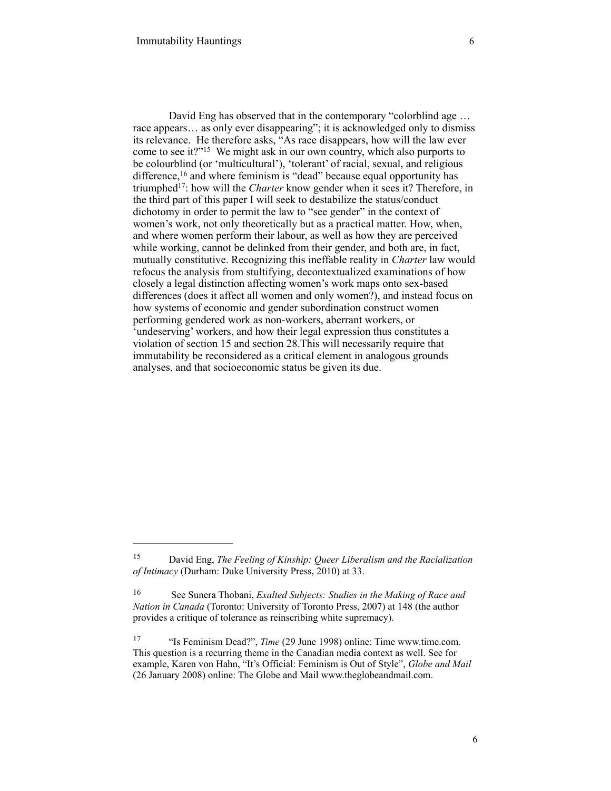David Eng has observed that in the contemporary "colorblind age … race appears... as only ever disappearing"; it is acknowledged only to dismiss its relevance. He therefore asks, "As race disappears, how will the law ever come to see it?" $15$  We might ask in our own country, which also purports to be colourblind (or 'multicultural'), 'tolerant' of racial, sexual, and religious difference,  $16$  and where feminism is "dead" because equal opportunity has triumphed<sup>17</sup>: how will the *Charter* know gender when it sees it? Therefore, in the third part of this paper I will seek to destabilize the status/conduct dichotomy in order to permit the law to "see gender" in the context of women's work, not only theoretically but as a practical matter. How, when, and where women perform their labour, as well as how they are perceived while working, cannot be delinked from their gender, and both are, in fact, mutually constitutive. Recognizing this ineffable reality in *Charter* law would refocus the analysis from stultifying, decontextualized examinations of how closely a legal distinction affecting women's work maps onto sex-based differences (does it affect all women and only women?), and instead focus on how systems of economic and gender subordination construct women performing gendered work as non-workers, aberrant workers, or 'undeserving' workers, and how their legal expression thus constitutes a violation of section 15 and section 28.This will necessarily require that immutability be reconsidered as a critical element in analogous grounds analyses, and that socioeconomic status be given its due.

David Eng, *The Feeling of Kinship: Queer Liberalism and the Racialization* <sup>15</sup> *of Intimacy* (Durham: Duke University Press, 2010) at 33.

See Sunera Thobani, *Exalted Subjects: Studies in the Making of Race and* <sup>16</sup> *Nation in Canada* (Toronto: University of Toronto Press, 2007) at 148 (the author provides a critique of tolerance as reinscribing white supremacy).

<sup>&</sup>lt;sup>17</sup> "Is Feminism Dead?", *Time* (29 June 1998) online: Time [www.time.com.](http://www.time.com) This question is a recurring theme in the Canadian media context as well. See for example, Karen von Hahn, "It's Official: Feminism is Out of Style", *Globe and Mail*  (26 January 2008) online: The Globe and Mail www.theglobeandmail.com.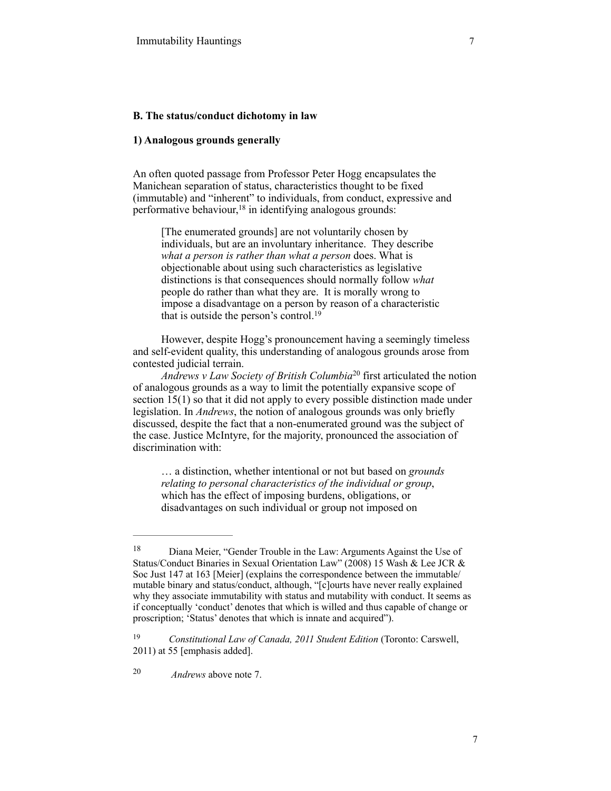### **B. The status/conduct dichotomy in law**

## **1) Analogous grounds generally**

An often quoted passage from Professor Peter Hogg encapsulates the Manichean separation of status, characteristics thought to be fixed (immutable) and "inherent" to individuals, from conduct, expressive and performative behaviour,  $18$  in identifying analogous grounds:

[The enumerated grounds] are not voluntarily chosen by individuals, but are an involuntary inheritance. They describe *what a person is rather than what a person* does. What is objectionable about using such characteristics as legislative distinctions is that consequences should normally follow *what* people do rather than what they are. It is morally wrong to impose a disadvantage on a person by reason of a characteristic that is outside the person's control. 19

However, despite Hogg's pronouncement having a seemingly timeless and self-evident quality, this understanding of analogous grounds arose from contested judicial terrain.

*Andrews v Law Society of British Columbia*<sup>20</sup> first articulated the notion of analogous grounds as a way to limit the potentially expansive scope of section 15(1) so that it did not apply to every possible distinction made under legislation. In *Andrews*, the notion of analogous grounds was only briefly discussed, despite the fact that a non-enumerated ground was the subject of the case. Justice McIntyre, for the majority, pronounced the association of discrimination with:

… a distinction, whether intentional or not but based on *grounds relating to personal characteristics of the individual or group*, which has the effect of imposing burdens, obligations, or disadvantages on such individual or group not imposed on

<sup>&</sup>lt;sup>18</sup> Diana Meier, "Gender Trouble in the Law: Arguments Against the Use of Status/Conduct Binaries in Sexual Orientation Law" (2008) 15 Wash & Lee JCR & Soc Just 147 at 163 [Meier] (explains the correspondence between the immutable/ mutable binary and status/conduct, although, "[c]ourts have never really explained why they associate immutability with status and mutability with conduct. It seems as if conceptually 'conduct' denotes that which is willed and thus capable of change or proscription; 'Status' denotes that which is innate and acquired").

<sup>&</sup>lt;sup>19</sup> *Constitutional Law of Canada, 2011 Student Edition (Toronto: Carswell,* 2011) at 55 [emphasis added].

*Andrews* above note 7. 20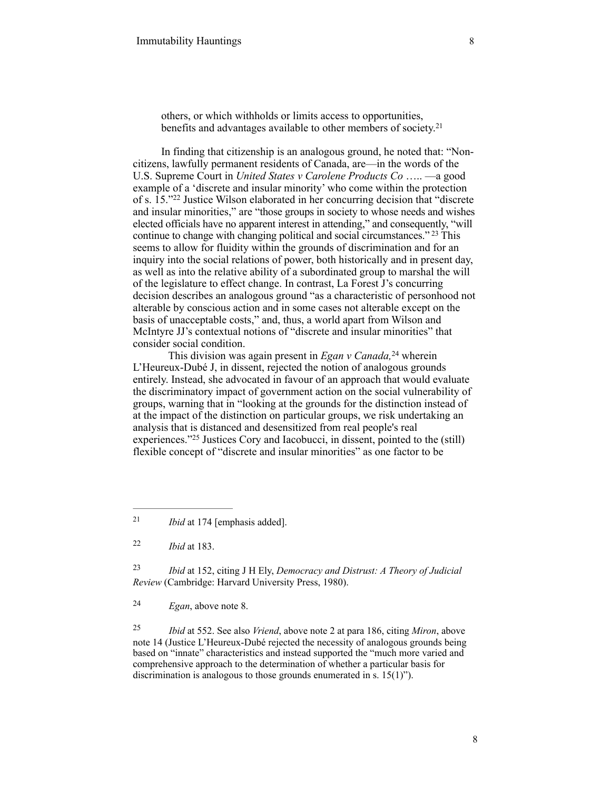others, or which withholds or limits access to opportunities, benefits and advantages available to other members of society.<sup>21</sup>

In finding that citizenship is an analogous ground, he noted that: "Noncitizens, lawfully permanent residents of Canada, are—in the words of the U.S. Supreme Court in *United States v Carolene Products Co* ….. —a good example of a 'discrete and insular minority' who come within the protection of s.  $15.^{\prime\prime}$ <sup>22</sup> Justice Wilson elaborated in her concurring decision that "discrete" and insular minorities," are "those groups in society to whose needs and wishes elected officials have no apparent interest in attending," and consequently, "will continue to change with changing political and social circumstances."<sup>23</sup> This seems to allow for fluidity within the grounds of discrimination and for an inquiry into the social relations of power, both historically and in present day, as well as into the relative ability of a subordinated group to marshal the will of the legislature to effect change. In contrast, La Forest J's concurring decision describes an analogous ground "as a characteristic of personhood not alterable by conscious action and in some cases not alterable except on the basis of unacceptable costs," and, thus, a world apart from Wilson and McIntyre JJ's contextual notions of "discrete and insular minorities" that consider social condition.

This division was again present in *Egan v Canada*,<sup>24</sup> wherein L'Heureux-Dubé J, in dissent, rejected the notion of analogous grounds entirely. Instead, she advocated in favour of an approach that would evaluate the discriminatory impact of government action on the social vulnerability of groups, warning that in "looking at the grounds for the distinction instead of at the impact of the distinction on particular groups, we risk undertaking an analysis that is distanced and desensitized from real people's real experiences." $25$  Justices Cory and Iacobucci, in dissent, pointed to the (still) flexible concept of "discrete and insular minorities" as one factor to be

 *Ibid* at 152, citing J H Ely, *Democracy and Distrust: A Theory of Judicial* <sup>23</sup> *Review* (Cambridge: Harvard University Press, 1980).

*Egan*, above note 8. <sup>24</sup>

 *Ibid* at 552. See also *Vriend*, above note 2 at para 186, citing *Miron*, above 25 note 14 (Justice L'Heureux-Dubé rejected the necessity of analogous grounds being based on "innate" characteristics and instead supported the "much more varied and comprehensive approach to the determination of whether a particular basis for discrimination is analogous to those grounds enumerated in s. 15(1)").

<sup>&</sup>lt;sup>21</sup> *Ibid* at 174 [emphasis added].

*Ibid* at 183. <sup>22</sup>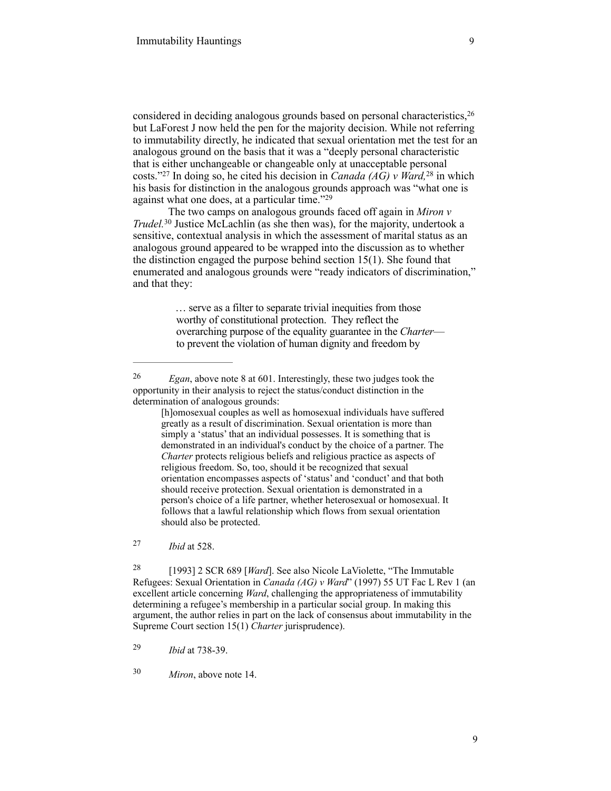considered in deciding analogous grounds based on personal characteristics,<sup>26</sup> but LaForest J now held the pen for the majority decision. While not referring to immutability directly, he indicated that sexual orientation met the test for an analogous ground on the basis that it was a "deeply personal characteristic that is either unchangeable or changeable only at unacceptable personal costs."<sup>27</sup> In doing so, he cited his decision in *Canada (AG)* v *Ward*, <sup>28</sup> in which his basis for distinction in the analogous grounds approach was "what one is against what one does, at a particular time."29

The two camps on analogous grounds faced off again in *Miron v Trudel.*<sup>30</sup> Justice McLachlin (as she then was), for the majority, undertook a sensitive, contextual analysis in which the assessment of marital status as an analogous ground appeared to be wrapped into the discussion as to whether the distinction engaged the purpose behind section 15(1). She found that enumerated and analogous grounds were "ready indicators of discrimination," and that they:

> … serve as a filter to separate trivial inequities from those worthy of constitutional protection. They reflect the overarching purpose of the equality guarantee in the *Charter* to prevent the violation of human dignity and freedom by

*Ibid* at 528. 27

<sup>28</sup> [1993] 2 SCR 689 [*Ward*]. See also Nicole LaViolette, "The Immutable Refugees: Sexual Orientation in *Canada (AG) v Ward*" (1997) 55 UT Fac L Rev 1 (an excellent article concerning *Ward*, challenging the appropriateness of immutability determining a refugee's membership in a particular social group. In making this argument, the author relies in part on the lack of consensus about immutability in the Supreme Court section 15(1) *Charter* jurisprudence).

*Ibid* at 738-39. 29

*Miron*, above note 14. <sup>30</sup>

 $E_{\text{g}}$  Egan, above note 8 at 601. Interestingly, these two judges took the opportunity in their analysis to reject the status/conduct distinction in the determination of analogous grounds:

<sup>[</sup>h]omosexual couples as well as homosexual individuals have suffered greatly as a result of discrimination. Sexual orientation is more than simply a 'status' that an individual possesses. It is something that is demonstrated in an individual's conduct by the choice of a partner. The *Charter* protects religious beliefs and religious practice as aspects of religious freedom. So, too, should it be recognized that sexual orientation encompasses aspects of 'status' and 'conduct' and that both should receive protection. Sexual orientation is demonstrated in a person's choice of a life partner, whether heterosexual or homosexual. It follows that a lawful relationship which flows from sexual orientation should also be protected.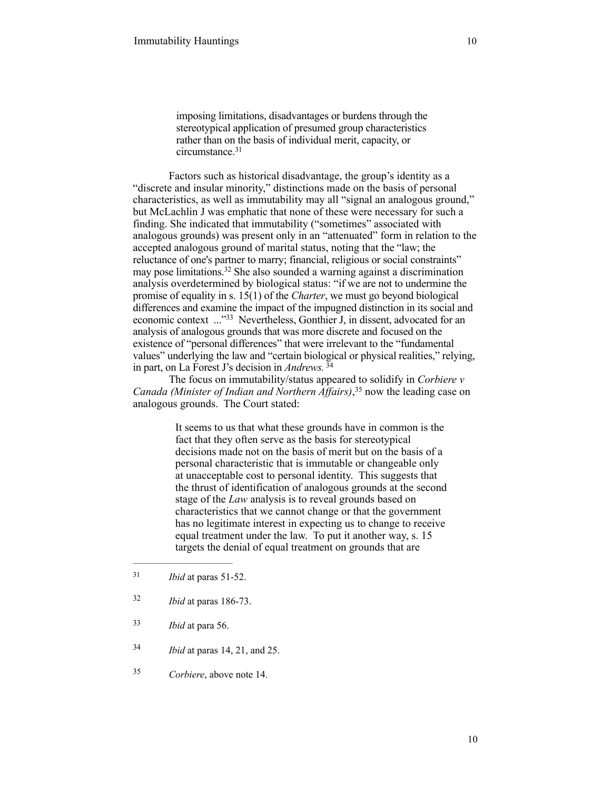imposing limitations, disadvantages or burdens through the stereotypical application of presumed group characteristics rather than on the basis of individual merit, capacity, or circumstance.<sup>31</sup>

Factors such as historical disadvantage, the group's identity as a "discrete and insular minority," distinctions made on the basis of personal characteristics, as well as immutability may all "signal an analogous ground," but McLachlin J was emphatic that none of these were necessary for such a finding. She indicated that immutability ("sometimes" associated with analogous grounds) was present only in an "attenuated" form in relation to the accepted analogous ground of marital status, noting that the "law; the reluctance of one's partner to marry; financial, religious or social constraints" may pose limitations.<sup>32</sup> She also sounded a warning against a discrimination analysis overdetermined by biological status: "if we are not to undermine the promise of equality in s. 15(1) of the *Charter*, we must go beyond biological differences and examine the impact of the impugned distinction in its social and economic context ..."33 Nevertheless, Gonthier J, in dissent, advocated for an analysis of analogous grounds that was more discrete and focused on the existence of "personal differences" that were irrelevant to the "fundamental values" underlying the law and "certain biological or physical realities," relying, in part, on La Forest J's decision in *Andrews.* <sup>34</sup>

The focus on immutability/status appeared to solidify in *Corbiere v Canada (Minister of Indian and Northern Affairs)*<sup>35</sup> now the leading case on analogous grounds. The Court stated:

> It seems to us that what these grounds have in common is the fact that they often serve as the basis for stereotypical decisions made not on the basis of merit but on the basis of a personal characteristic that is immutable or changeable only at unacceptable cost to personal identity. This suggests that the thrust of identification of analogous grounds at the second stage of the *Law* analysis is to reveal grounds based on characteristics that we cannot change or that the government has no legitimate interest in expecting us to change to receive equal treatment under the law. To put it another way, s. 15 targets the denial of equal treatment on grounds that are

- $1<sup>31</sup>$  *Ibid* at paras 51-52.
- *Ibid* at paras 186-73. <sup>32</sup>
- *Ibid* at para 56. <sup>33</sup>
- *Ibid* at paras 14, 21, and 25. <sup>34</sup>
- *Corbiere*, above note 14. <sup>35</sup>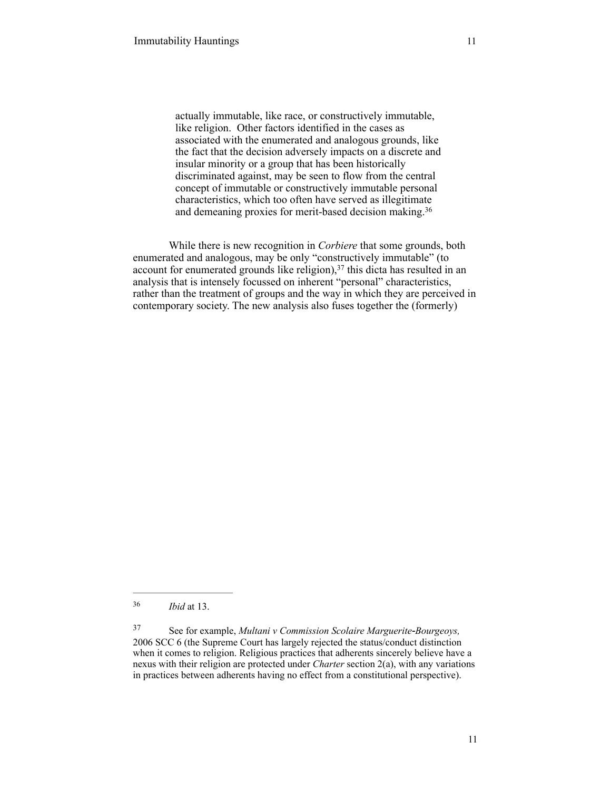actually immutable, like race, or constructively immutable, like religion. Other factors identified in the cases as associated with the enumerated and analogous grounds, like the fact that the decision adversely impacts on a discrete and insular minority or a group that has been historically discriminated against, may be seen to flow from the central concept of immutable or constructively immutable personal characteristics, which too often have served as illegitimate and demeaning proxies for merit-based decision making.36

 While there is new recognition in *Corbiere* that some grounds, both enumerated and analogous, may be only "constructively immutable" (to account for enumerated grounds like religion),  $37$  this dicta has resulted in an analysis that is intensely focussed on inherent "personal" characteristics, rather than the treatment of groups and the way in which they are perceived in contemporary society. The new analysis also fuses together the (formerly)

*Ibid* at 13. <sup>36</sup>

See for example, *Multani v Commission Scolaire Marguerite-Bourgeoys,* <sup>37</sup> 2006 SCC 6 (the Supreme Court has largely rejected the status/conduct distinction when it comes to religion. Religious practices that adherents sincerely believe have a nexus with their religion are protected under *Charter* section 2(a), with any variations in practices between adherents having no effect from a constitutional perspective).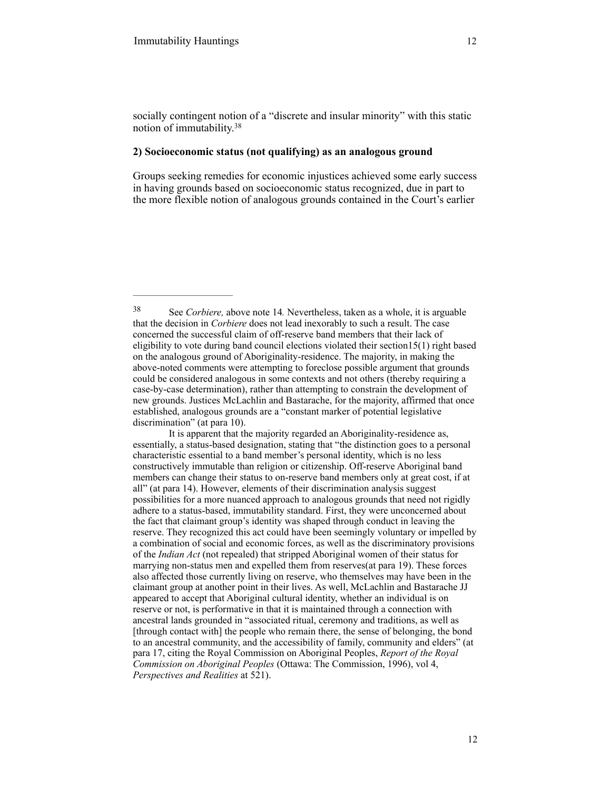#### **2) Socioeconomic status (not qualifying) as an analogous ground**

Groups seeking remedies for economic injustices achieved some early success in having grounds based on socioeconomic status recognized, due in part to the more flexible notion of analogous grounds contained in the Court's earlier

See *Corbiere,* above note 14*.* Nevertheless, taken as a whole, it is arguable 38 that the decision in *Corbiere* does not lead inexorably to such a result. The case concerned the successful claim of off-reserve band members that their lack of eligibility to vote during band council elections violated their section15(1) right based on the analogous ground of Aboriginality-residence. The majority, in making the above-noted comments were attempting to foreclose possible argument that grounds could be considered analogous in some contexts and not others (thereby requiring a case-by-case determination), rather than attempting to constrain the development of new grounds. Justices McLachlin and Bastarache, for the majority, affirmed that once established, analogous grounds are a "constant marker of potential legislative discrimination" (at para 10).

It is apparent that the majority regarded an Aboriginality-residence as, essentially, a status-based designation, stating that "the distinction goes to a personal characteristic essential to a band member's personal identity, which is no less constructively immutable than religion or citizenship. Off-reserve Aboriginal band members can change their status to on-reserve band members only at great cost, if at all" (at para 14). However, elements of their discrimination analysis suggest possibilities for a more nuanced approach to analogous grounds that need not rigidly adhere to a status-based, immutability standard. First, they were unconcerned about the fact that claimant group's identity was shaped through conduct in leaving the reserve. They recognized this act could have been seemingly voluntary or impelled by a combination of social and economic forces, as well as the discriminatory provisions of the *Indian Act* (not repealed) that stripped Aboriginal women of their status for marrying non-status men and expelled them from reserves(at para 19). These forces also affected those currently living on reserve, who themselves may have been in the claimant group at another point in their lives. As well, McLachlin and Bastarache JJ appeared to accept that Aboriginal cultural identity, whether an individual is on reserve or not, is performative in that it is maintained through a connection with ancestral lands grounded in "associated ritual, ceremony and traditions, as well as [through contact with] the people who remain there, the sense of belonging, the bond to an ancestral community, and the accessibility of family, community and elders" (at para 17, citing the Royal Commission on Aboriginal Peoples, *Report of the Royal Commission on Aboriginal Peoples* (Ottawa: The Commission, 1996), vol 4, *Perspectives and Realities* at 521).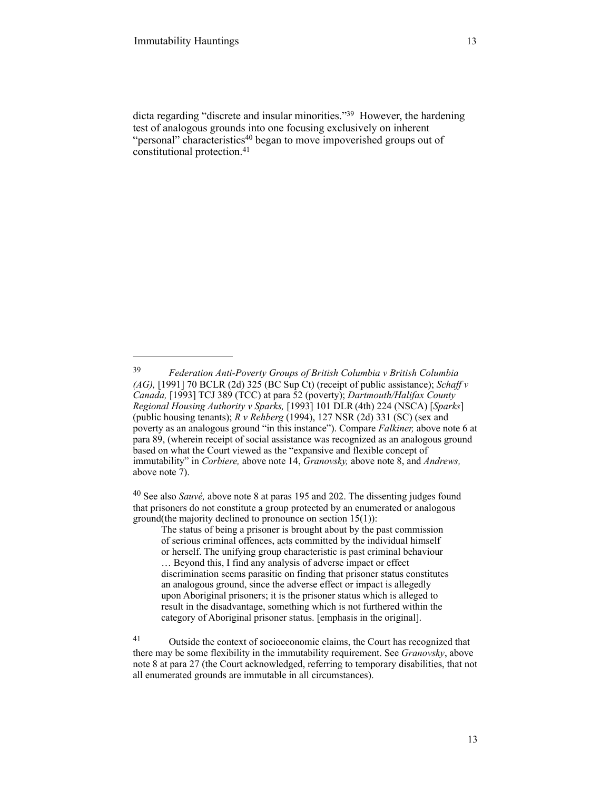dicta regarding "discrete and insular minorities."<sup>39</sup> However, the hardening test of analogous grounds into one focusing exclusively on inherent "personal" characteristics<sup>40</sup> began to move impoverished groups out of constitutional protection. 41

<sup>40</sup> See also *Sauvé*, above note 8 at paras 195 and 202. The dissenting judges found that prisoners do not constitute a group protected by an enumerated or analogous ground(the majority declined to pronounce on section 15(1)):

The status of being a prisoner is brought about by the past commission of serious criminal offences, acts committed by the individual himself or herself. The unifying group characteristic is past criminal behaviour … Beyond this, I find any analysis of adverse impact or effect discrimination seems parasitic on finding that prisoner status constitutes an analogous ground, since the adverse effect or impact is allegedly upon Aboriginal prisoners; it is the prisoner status which is alleged to result in the disadvantage, something which is not furthered within the category of Aboriginal prisoner status. [emphasis in the original].

<sup>41</sup> Outside the context of socioeconomic claims, the Court has recognized that there may be some flexibility in the immutability requirement. See *Granovsky*, above note 8 at para 27 (the Court acknowledged, referring to temporary disabilities, that not all enumerated grounds are immutable in all circumstances).

*Federation Anti-Poverty Groups of British Columbia v British Columbia* <sup>39</sup> *(AG),* [1991] 70 BCLR (2d) 325 (BC Sup Ct) (receipt of public assistance); *Schaff v Canada,* [1993] TCJ 389 (TCC) at para 52 (poverty); *Dartmouth/Halifax County Regional Housing Authority v Sparks,* [1993] 101 DLR(4th) 224 (NSCA) [*Sparks*] (public housing tenants); *R v Rehberg* (1994), 127 NSR (2d) 331 (SC) (sex and poverty as an analogous ground "in this instance"). Compare *Falkiner,* above note 6 at para 89, (wherein receipt of social assistance was recognized as an analogous ground based on what the Court viewed as the "expansive and flexible concept of immutability" in *Corbiere,* above note 14, *Granovsky,* above note 8, and *Andrews,*  above note 7).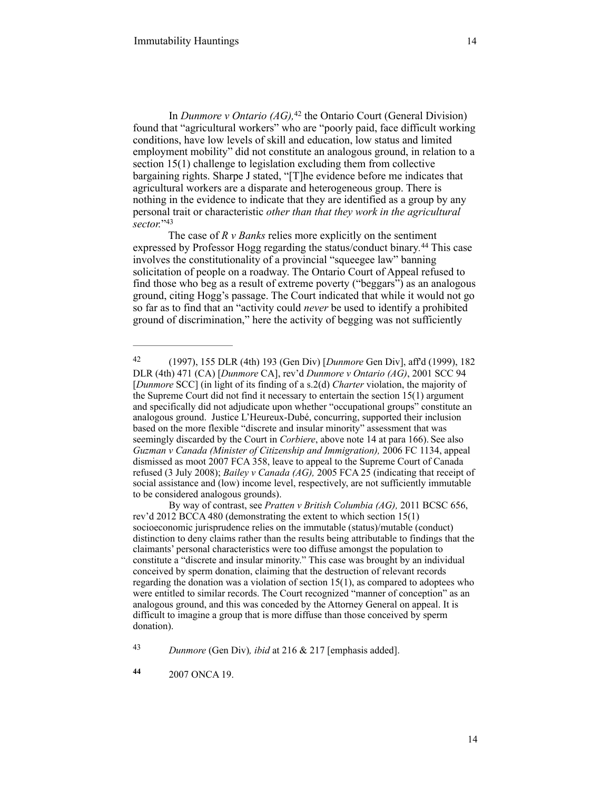In *Dunmore v Ontario (AG)*,<sup>42</sup> the Ontario Court (General Division) found that "agricultural workers" who are "poorly paid, face difficult working conditions, have low levels of skill and education, low status and limited employment mobility" did not constitute an analogous ground, in relation to a section 15(1) challenge to legislation excluding them from collective bargaining rights. Sharpe J stated, "[T]he evidence before me indicates that agricultural workers are a disparate and heterogeneous group. There is nothing in the evidence to indicate that they are identified as a group by any personal trait or characteristic *other than that they work in the agricultural sector.*"43

The case of *R v Banks* relies more explicitly on the sentiment expressed by Professor Hogg regarding the status/conduct binary.<sup>44</sup> This case involves the constitutionality of a provincial "squeegee law" banning solicitation of people on a roadway. The Ontario Court of Appeal refused to find those who beg as a result of extreme poverty ("beggars") as an analogous ground, citing Hogg's passage. The Court indicated that while it would not go so far as to find that an "activity could *never* be used to identify a prohibited ground of discrimination," here the activity of begging was not sufficiently

 <sup>(1997), 155</sup> DLR (4th) 193 (Gen Div) [*Dunmore* Gen Div], aff'd (1999), 182 42 DLR (4th) 471 (CA) [*Dunmore* CA], rev'd *Dunmore v Ontario (AG)*, 2001 SCC 94 [*Dunmore* SCC] (in light of its finding of a s.2(d) *Charter* violation, the majority of the Supreme Court did not find it necessary to entertain the section 15(1) argument and specifically did not adjudicate upon whether "occupational groups" constitute an analogous ground. Justice L'Heureux-Dubé, concurring, supported their inclusion based on the more flexible "discrete and insular minority" assessment that was seemingly discarded by the Court in *Corbiere*, above note 14 at para 166). See also *Guzman v Canada (Minister of Citizenship and Immigration),* 2006 FC 1134, appeal dismissed as moot 2007 FCA 358, leave to appeal to the Supreme Court of Canada refused (3 July 2008); *Bailey v Canada (AG),* 2005 FCA 25 (indicating that receipt of social assistance and (low) income level, respectively, are not sufficiently immutable to be considered analogous grounds).

By way of contrast, see *Pratten v British Columbia (AG),* 2011 BCSC 656, rev'd 2012 BCCA 480 (demonstrating the extent to which section 15(1) socioeconomic jurisprudence relies on the immutable (status)/mutable (conduct) distinction to deny claims rather than the results being attributable to findings that the claimants' personal characteristics were too diffuse amongst the population to constitute a "discrete and insular minority." This case was brought by an individual conceived by sperm donation, claiming that the destruction of relevant records regarding the donation was a violation of section 15(1), as compared to adoptees who were entitled to similar records. The Court recognized "manner of conception" as an analogous ground, and this was conceded by the Attorney General on appeal. It is difficult to imagine a group that is more diffuse than those conceived by sperm donation).

*Dunmore* (Gen Div)*, ibid* at 216 & 217 [emphasis added]. <sup>43</sup>

2007 ONCA 19. **<sup>44</sup>**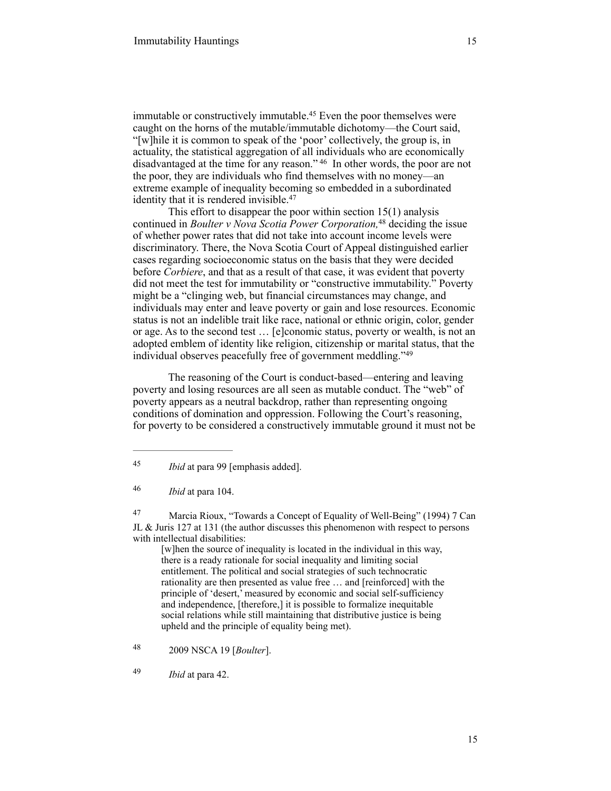immutable or constructively immutable.<sup>45</sup> Even the poor themselves were caught on the horns of the mutable/immutable dichotomy—the Court said, "[w]hile it is common to speak of the 'poor' collectively, the group is, in actuality, the statistical aggregation of all individuals who are economically disadvantaged at the time for any reason." <sup>46</sup> In other words, the poor are not the poor, they are individuals who find themselves with no money—an extreme example of inequality becoming so embedded in a subordinated identity that it is rendered invisible.<sup>47</sup>

This effort to disappear the poor within section 15(1) analysis continued in *Boulter v Nova Scotia Power Corporation*,<sup>48</sup> deciding the issue of whether power rates that did not take into account income levels were discriminatory. There, the Nova Scotia Court of Appeal distinguished earlier cases regarding socioeconomic status on the basis that they were decided before *Corbiere*, and that as a result of that case, it was evident that poverty did not meet the test for immutability or "constructive immutability." Poverty might be a "clinging web, but financial circumstances may change, and individuals may enter and leave poverty or gain and lose resources. Economic status is not an indelible trait like race, national or ethnic origin, color, gender or age. As to the second test … [e]conomic status, poverty or wealth, is not an adopted emblem of identity like religion, citizenship or marital status, that the individual observes peacefully free of government meddling."49

The reasoning of the Court is conduct-based—entering and leaving poverty and losing resources are all seen as mutable conduct. The "web" of poverty appears as a neutral backdrop, rather than representing ongoing conditions of domination and oppression. Following the Court's reasoning, for poverty to be considered a constructively immutable ground it must not be

<sup>47</sup> Marcia Rioux, "Towards a Concept of Equality of Well-Being" (1994) 7 Can JL & Juris 127 at 131 (the author discusses this phenomenon with respect to persons with intellectual disabilities:

[w]hen the source of inequality is located in the individual in this way, there is a ready rationale for social inequality and limiting social entitlement. The political and social strategies of such technocratic rationality are then presented as value free … and [reinforced] with the principle of 'desert,' measured by economic and social self-sufficiency and independence, [therefore,] it is possible to formalize inequitable social relations while still maintaining that distributive justice is being upheld and the principle of equality being met).

<sup>49</sup> *Ibid* at para 42.

*Ibid* at para 99 [emphasis added]. <sup>45</sup>

*Ibid* at para 104. <sup>46</sup>

 <sup>2009</sup> NSCA 19 [*Boulter*]. <sup>48</sup>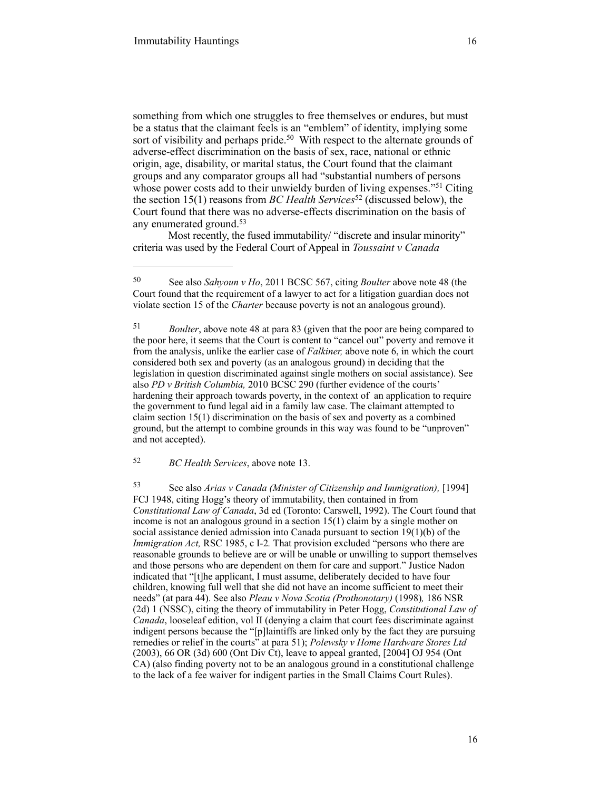something from which one struggles to free themselves or endures, but must be a status that the claimant feels is an "emblem" of identity, implying some sort of visibility and perhaps pride.<sup>50</sup> With respect to the alternate grounds of adverse-effect discrimination on the basis of sex, race, national or ethnic origin, age, disability, or marital status, the Court found that the claimant groups and any comparator groups all had "substantial numbers of persons whose power costs add to their unwieldy burden of living expenses."<sup>51</sup> Citing the section 15(1) reasons from *BC Health Services*<sup>52</sup> (discussed below), the Court found that there was no adverse-effects discrimination on the basis of any enumerated ground.<sup>53</sup>

Most recently, the fused immutability/ "discrete and insular minority" criteria was used by the Federal Court of Appeal in *Toussaint v Canada* 

*BC Health Services*, above note 13. <sup>52</sup>

 See also *Arias v Canada (Minister of Citizenship and Immigration),* [1994] 53 FCJ 1948, citing Hogg's theory of immutability, then contained in from *Constitutional Law of Canada*, 3d ed (Toronto: Carswell, 1992). The Court found that income is not an analogous ground in a section 15(1) claim by a single mother on social assistance denied admission into Canada pursuant to section 19(1)(b) of the *Immigration Act,* RSC 1985, c I-2*.* That provision excluded "persons who there are reasonable grounds to believe are or will be unable or unwilling to support themselves and those persons who are dependent on them for care and support." Justice Nadon indicated that "[t]he applicant, I must assume, deliberately decided to have four children, knowing full well that she did not have an income sufficient to meet their needs" (at para 44). See also *Pleau v Nova Scotia (Prothonotary)* (1998)*,* 186 NSR (2d) 1 (NSSC), citing the theory of immutability in Peter Hogg, *Constitutional Law of Canada*, looseleaf edition, vol II (denying a claim that court fees discriminate against indigent persons because the "[p]laintiffs are linked only by the fact they are pursuing remedies or relief in the courts" at para 51); *Polewsky v Home Hardware Stores Ltd*  (2003), 66 OR (3d) 600 (Ont Div Ct), leave to appeal granted, [2004] OJ 954 (Ont CA) (also finding poverty not to be an analogous ground in a constitutional challenge to the lack of a fee waiver for indigent parties in the Small Claims Court Rules).

See also *Sahyoun v Ho*, 2011 BCSC 567, citing *Boulter* above note 48 (the 50 Court found that the requirement of a lawyer to act for a litigation guardian does not violate section 15 of the *Charter* because poverty is not an analogous ground).

<sup>&</sup>lt;sup>51</sup> *Boulter*, above note 48 at para 83 (given that the poor are being compared to the poor here, it seems that the Court is content to "cancel out" poverty and remove it from the analysis, unlike the earlier case of *Falkiner,* above note 6, in which the court considered both sex and poverty (as an analogous ground) in deciding that the legislation in question discriminated against single mothers on social assistance). See also *PD v British Columbia,* 2010 BCSC 290 (further evidence of the courts' hardening their approach towards poverty, in the context of an application to require the government to fund legal aid in a family law case. The claimant attempted to claim section 15(1) discrimination on the basis of sex and poverty as a combined ground, but the attempt to combine grounds in this way was found to be "unproven" and not accepted).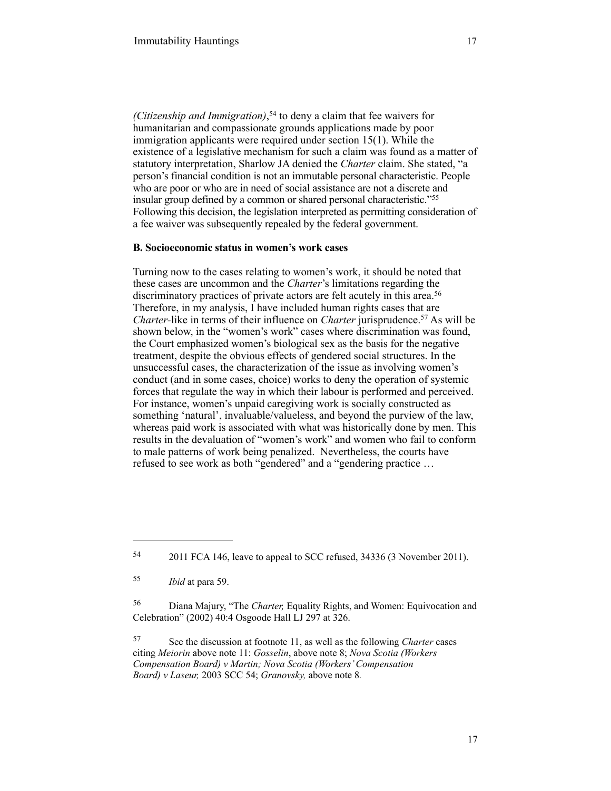*(Citizenship and Immigration)*,<sup>54</sup> to deny a claim that fee waivers for humanitarian and compassionate grounds applications made by poor immigration applicants were required under section 15(1). While the existence of a legislative mechanism for such a claim was found as a matter of statutory interpretation, Sharlow JA denied the *Charter* claim. She stated, "a person's financial condition is not an immutable personal characteristic. People who are poor or who are in need of social assistance are not a discrete and insular group defined by a common or shared personal characteristic."55 Following this decision, the legislation interpreted as permitting consideration of a fee waiver was subsequently repealed by the federal government.

# **B. Socioeconomic status in women's work cases**

Turning now to the cases relating to women's work, it should be noted that these cases are uncommon and the *Charter*'s limitations regarding the discriminatory practices of private actors are felt acutely in this area.<sup>56</sup> Therefore, in my analysis, I have included human rights cases that are *Charter-like in terms of their influence on <i>Charter jurisprudence*.<sup>57</sup> As will be shown below, in the "women's work" cases where discrimination was found, the Court emphasized women's biological sex as the basis for the negative treatment, despite the obvious effects of gendered social structures. In the unsuccessful cases, the characterization of the issue as involving women's conduct (and in some cases, choice) works to deny the operation of systemic forces that regulate the way in which their labour is performed and perceived. For instance, women's unpaid caregiving work is socially constructed as something 'natural', invaluable/valueless, and beyond the purview of the law, whereas paid work is associated with what was historically done by men. This results in the devaluation of "women's work" and women who fail to conform to male patterns of work being penalized. Nevertheless, the courts have refused to see work as both "gendered" and a "gendering practice …

<sup>&</sup>lt;sup>54</sup> 2011 FCA 146, leave to appeal to SCC refused, 34336 (3 November 2011).

*Ibid* at para 59. <sup>55</sup>

Diana Majury, "The *Charter,* Equality Rights, and Women: Equivocation and 56 Celebration" (2002) 40:4 Osgoode Hall LJ 297 at 326.

See the discussion at footnote 11, as well as the following *Charter* cases 57 citing *Meiorin* above note 11: *Gosselin*, above note 8; *Nova Scotia (Workers Compensation Board) v Martin; Nova Scotia (Workers' Compensation Board) v Laseur,* 2003 SCC 54; *Granovsky,* above note 8*.*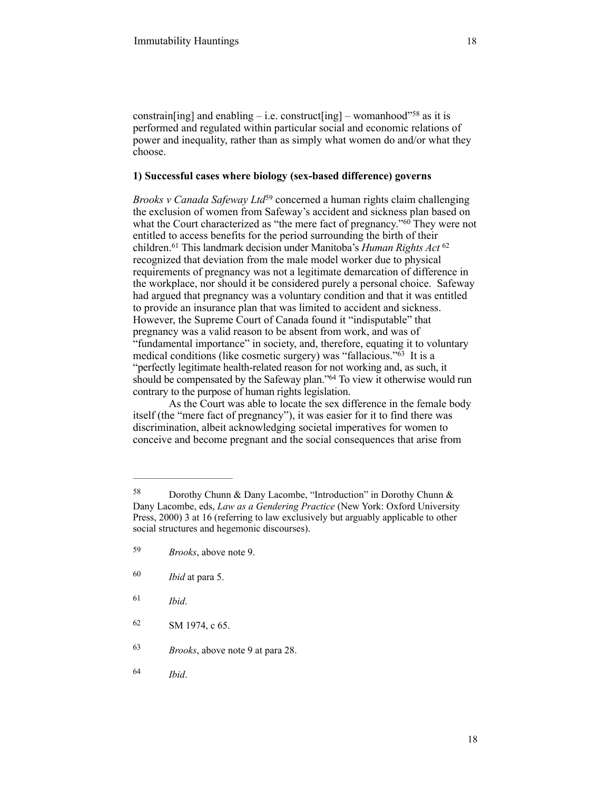constrain[ing] and enabling – i.e. construct[ing] – womanhood"<sup>58</sup> as it is performed and regulated within particular social and economic relations of power and inequality, rather than as simply what women do and/or what they choose.

# **1) Successful cases where biology (sex-based difference) governs**

*Brooks v Canada Safeway Ltd*<sup>59</sup> concerned a human rights claim challenging the exclusion of women from Safeway's accident and sickness plan based on what the Court characterized as "the mere fact of pregnancy."<sup>60</sup> They were not entitled to access benefits for the period surrounding the birth of their children.<sup>61</sup> This landmark decision under Manitoba's *Human Rights Act* <sup>62</sup> recognized that deviation from the male model worker due to physical requirements of pregnancy was not a legitimate demarcation of difference in the workplace, nor should it be considered purely a personal choice. Safeway had argued that pregnancy was a voluntary condition and that it was entitled to provide an insurance plan that was limited to accident and sickness. However, the Supreme Court of Canada found it "indisputable" that pregnancy was a valid reason to be absent from work, and was of "fundamental importance" in society, and, therefore, equating it to voluntary medical conditions (like cosmetic surgery) was "fallacious." $\overline{63}$  It is a "perfectly legitimate health-related reason for not working and, as such, it should be compensated by the Safeway plan."<sup>64</sup> To view it otherwise would run contrary to the purpose of human rights legislation.

As the Court was able to locate the sex difference in the female body itself (the "mere fact of pregnancy"), it was easier for it to find there was discrimination, albeit acknowledging societal imperatives for women to conceive and become pregnant and the social consequences that arise from

- *Ibid* at para 5. 60
- *Ibid*. <sup>61</sup>
- $62$  SM 1974, c 65.
- <sup>63</sup> *Brooks*, above note 9 at para 28.
- *Ibid*. <sup>64</sup>

Dorothy Chunn & Dany Lacombe, "Introduction" in Dorothy Chunn & 58 Dany Lacombe, eds, *Law as a Gendering Practice* (New York: Oxford University Press, 2000) 3 at 16 (referring to law exclusively but arguably applicable to other social structures and hegemonic discourses).

*Brooks*, above note 9. <sup>59</sup>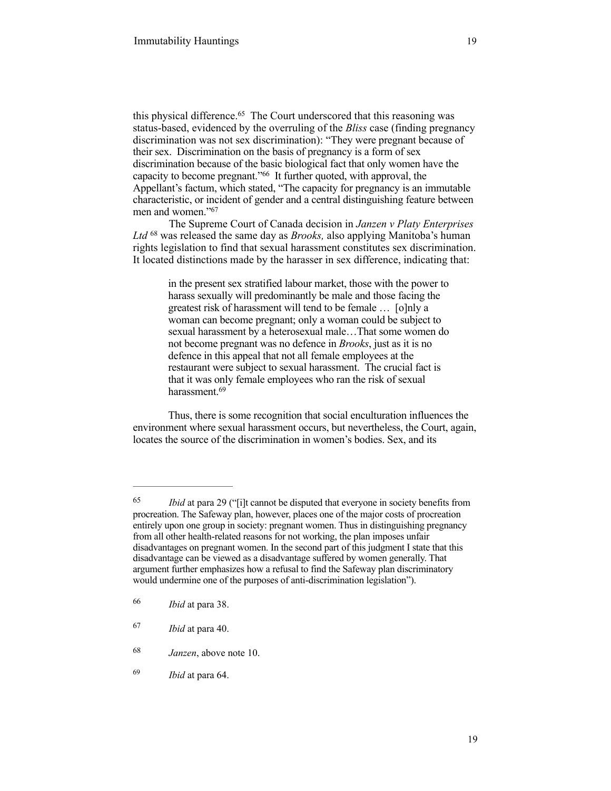this physical difference. $65$  The Court underscored that this reasoning was status-based, evidenced by the overruling of the *Bliss* case (finding pregnancy discrimination was not sex discrimination): "They were pregnant because of their sex. Discrimination on the basis of pregnancy is a form of sex discrimination because of the basic biological fact that only women have the capacity to become pregnant."<sup>66</sup> It further quoted, with approval, the Appellant's factum, which stated, "The capacity for pregnancy is an immutable characteristic, or incident of gender and a central distinguishing feature between men and women."67

The Supreme Court of Canada decision in *Janzen v Platy Enterprises*  Ltd <sup>68</sup> was released the same day as *Brooks*, also applying Manitoba's human rights legislation to find that sexual harassment constitutes sex discrimination. It located distinctions made by the harasser in sex difference, indicating that:

> in the present sex stratified labour market, those with the power to harass sexually will predominantly be male and those facing the greatest risk of harassment will tend to be female … [o]nly a woman can become pregnant; only a woman could be subject to sexual harassment by a heterosexual male…That some women do not become pregnant was no defence in *Brooks*, just as it is no defence in this appeal that not all female employees at the restaurant were subject to sexual harassment. The crucial fact is that it was only female employees who ran the risk of sexual harassment.<sup>69</sup>

Thus, there is some recognition that social enculturation influences the environment where sexual harassment occurs, but nevertheless, the Court, again, locates the source of the discrimination in women's bodies. Sex, and its

<sup>&</sup>lt;sup>65</sup> *Ibid* at para 29 ("[i]t cannot be disputed that everyone in society benefits from procreation. The Safeway plan, however, places one of the major costs of procreation entirely upon one group in society: pregnant women. Thus in distinguishing pregnancy from all other health-related reasons for not working, the plan imposes unfair disadvantages on pregnant women. In the second part of this judgment I state that this disadvantage can be viewed as a disadvantage suffered by women generally. That argument further emphasizes how a refusal to find the Safeway plan discriminatory would undermine one of the purposes of anti-discrimination legislation").

*Ibid* at para 38. <sup>66</sup>

*Ibid* at para 40. <sup>67</sup>

*Janzen*, above note 10. <sup>68</sup>

*Ibid* at para 64. <sup>69</sup>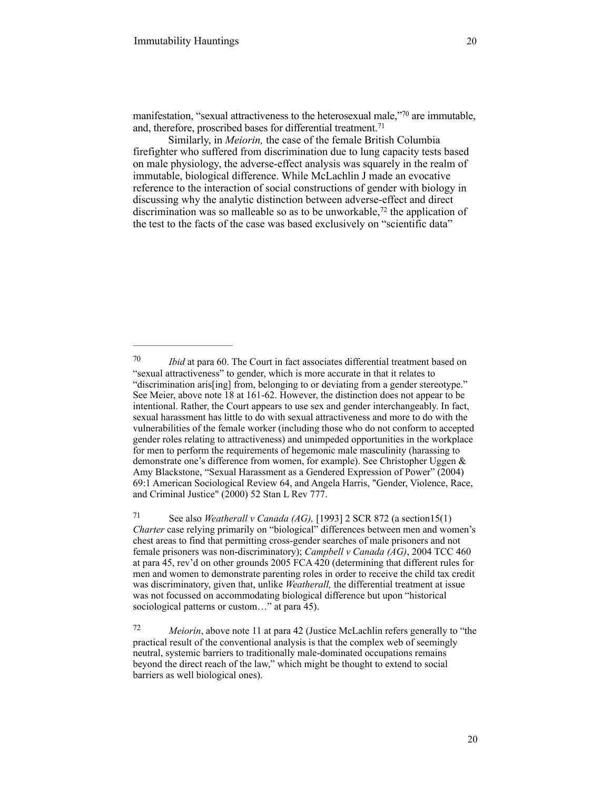manifestation, "sexual attractiveness to the heterosexual male,"70 are immutable, and, therefore, proscribed bases for differential treatment. 71

Similarly, in *Meiorin,* the case of the female British Columbia firefighter who suffered from discrimination due to lung capacity tests based on male physiology, the adverse-effect analysis was squarely in the realm of immutable, biological difference. While McLachlin J made an evocative reference to the interaction of social constructions of gender with biology in discussing why the analytic distinction between adverse-effect and direct discrimination was so malleable so as to be unworkable,  $\frac{72}{2}$  the application of the test to the facts of the case was based exclusively on "scientific data"

 See also *Weatherall v Canada (AG),* [1993] 2 SCR 872 (a section15(1) 71 *Charter* case relying primarily on "biological" differences between men and women's chest areas to find that permitting cross-gender searches of male prisoners and not female prisoners was non-discriminatory); *Campbell v Canada (AG)*, 2004 TCC 460 at para 45, rev'd on other grounds 2005 FCA 420 (determining that different rules for men and women to demonstrate parenting roles in order to receive the child tax credit was discriminatory, given that, unlike *Weatherall,* the differential treatment at issue was not focussed on accommodating biological difference but upon "historical sociological patterns or custom..." at para 45).

<sup>&</sup>lt;sup>70</sup> *Ibid* at para 60. The Court in fact associates differential treatment based on "sexual attractiveness" to gender, which is more accurate in that it relates to "discrimination aris[ing] from, belonging to or deviating from a gender stereotype." See Meier, above note 18 at 161-62. However, the distinction does not appear to be intentional. Rather, the Court appears to use sex and gender interchangeably. In fact, sexual harassment has little to do with sexual attractiveness and more to do with the vulnerabilities of the female worker (including those who do not conform to accepted gender roles relating to attractiveness) and unimpeded opportunities in the workplace for men to perform the requirements of hegemonic male masculinity (harassing to demonstrate one's difference from women, for example). See Christopher Uggen & Amy Blackstone, "Sexual Harassment as a Gendered Expression of Power" (2004) 69:1 American Sociological Review 64, and Angela Harris, "Gender, Violence, Race, and Criminal Justice" (2000) 52 Stan L Rev 777.

*Meiorin*, above note 11 at para 42 (Justice McLachlin refers generally to "the 72 practical result of the conventional analysis is that the complex web of seemingly neutral, systemic barriers to traditionally male-dominated occupations remains beyond the direct reach of the law," which might be thought to extend to social barriers as well biological ones).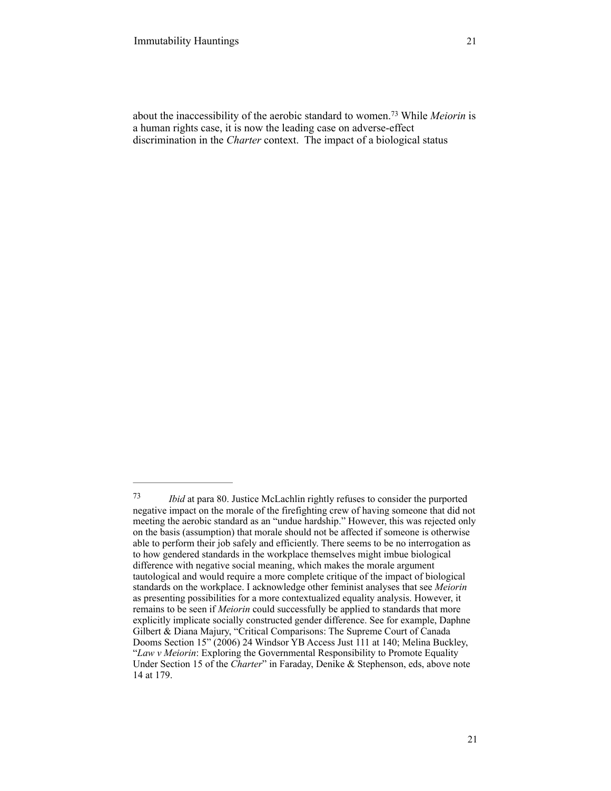about the inaccessibility of the aerobic standard to women.<sup>73</sup> While *Meiorin* is a human rights case, it is now the leading case on adverse-effect discrimination in the *Charter* context. The impact of a biological status

*Ibid* at para 80. Justice McLachlin rightly refuses to consider the purported 73 negative impact on the morale of the firefighting crew of having someone that did not meeting the aerobic standard as an "undue hardship." However, this was rejected only on the basis (assumption) that morale should not be affected if someone is otherwise able to perform their job safely and efficiently. There seems to be no interrogation as to how gendered standards in the workplace themselves might imbue biological difference with negative social meaning, which makes the morale argument tautological and would require a more complete critique of the impact of biological standards on the workplace. I acknowledge other feminist analyses that see *Meiorin*  as presenting possibilities for a more contextualized equality analysis. However, it remains to be seen if *Meiorin* could successfully be applied to standards that more explicitly implicate socially constructed gender difference. See for example, Daphne Gilbert & Diana Majury, "Critical Comparisons: The Supreme Court of Canada Dooms Section 15" (2006) 24 Windsor YB Access Just 111 at 140; Melina Buckley, "*Law v Meiorin*: Exploring the Governmental Responsibility to Promote Equality Under Section 15 of the *Charter*" in Faraday, Denike & Stephenson, eds, above note 14 at 179.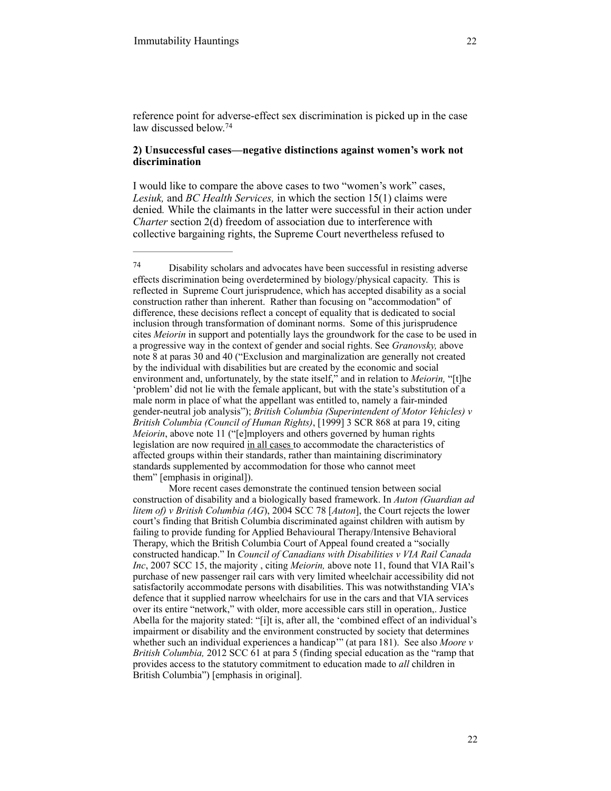reference point for adverse-effect sex discrimination is picked up in the case law discussed below.74

## **2) Unsuccessful cases—negative distinctions against women's work not discrimination**

I would like to compare the above cases to two "women's work" cases, *Lesiuk,* and *BC Health Services,* in which the section 15(1) claims were denied*.* While the claimants in the latter were successful in their action under *Charter* section 2(d) freedom of association due to interference with collective bargaining rights, the Supreme Court nevertheless refused to

 $^{74}$  Disability scholars and advocates have been successful in resisting adverse effects discrimination being overdetermined by biology/physical capacity. This is reflected in Supreme Court jurisprudence, which has accepted disability as a social construction rather than inherent. Rather than focusing on "accommodation" of difference, these decisions reflect a concept of equality that is dedicated to social inclusion through transformation of dominant norms. Some of this jurisprudence cites *Meiorin* in support and potentially lays the groundwork for the case to be used in a progressive way in the context of gender and social rights. See *Granovsky,* above note 8 at paras 30 and 40 ("Exclusion and marginalization are generally not created by the individual with disabilities but are created by the economic and social environment and, unfortunately, by the state itself," and in relation to *Meiorin*, "[t]he 'problem' did not lie with the female applicant, but with the state's substitution of a male norm in place of what the appellant was entitled to, namely a fair-minded gender-neutral job analysis"); *British Columbia (Superintendent of Motor Vehicles) v British Columbia (Council of Human Rights)*, [1999] 3 SCR 868 at para 19, citing *Meiorin*, above note 11 ("[e]mployers and others governed by human rights legislation are now required in all cases to accommodate the characteristics of affected groups within their standards, rather than maintaining discriminatory standards supplemented by accommodation for those who cannot meet them" [emphasis in original]).

More recent cases demonstrate the continued tension between social construction of disability and a biologically based framework. In *Auton (Guardian ad litem of) v British Columbia (AG*), 2004 SCC 78 [*Auton*], the Court rejects the lower court's finding that British Columbia discriminated against children with autism by failing to provide funding for Applied Behavioural Therapy/Intensive Behavioral Therapy, which the British Columbia Court of Appeal found created a "socially constructed handicap." In *Council of Canadians with Disabilities v VIA Rail Canada Inc*, 2007 SCC 15, the majority , citing *Meiorin,* above note 11, found that VIA Rail's purchase of new passenger rail cars with very limited wheelchair accessibility did not satisfactorily accommodate persons with disabilities. This was notwithstanding VIA's defence that it supplied narrow wheelchairs for use in the cars and that VIA services over its entire "network," with older, more accessible cars still in operation,. Justice Abella for the majority stated: "[i]t is, after all, the 'combined effect of an individual's impairment or disability and the environment constructed by society that determines whether such an individual experiences a handicap'" (at para 181). See also *Moore v British Columbia,* 2012 SCC 61 at para 5 (finding special education as the "ramp that provides access to the statutory commitment to education made to *all* children in British Columbia") [emphasis in original].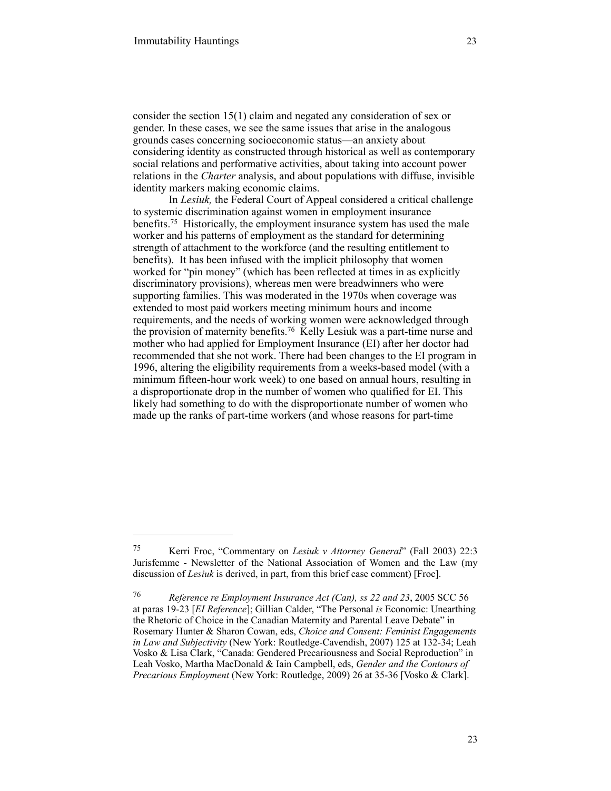consider the section 15(1) claim and negated any consideration of sex or gender. In these cases, we see the same issues that arise in the analogous grounds cases concerning socioeconomic status—an anxiety about considering identity as constructed through historical as well as contemporary social relations and performative activities, about taking into account power relations in the *Charter* analysis, and about populations with diffuse, invisible identity markers making economic claims.

In *Lesiuk,* the Federal Court of Appeal considered a critical challenge to systemic discrimination against women in employment insurance benefits.<sup>75</sup> Historically, the employment insurance system has used the male worker and his patterns of employment as the standard for determining strength of attachment to the workforce (and the resulting entitlement to benefits). It has been infused with the implicit philosophy that women worked for "pin money" (which has been reflected at times in as explicitly discriminatory provisions), whereas men were breadwinners who were supporting families. This was moderated in the 1970s when coverage was extended to most paid workers meeting minimum hours and income requirements, and the needs of working women were acknowledged through the provision of maternity benefits.<sup>76</sup> Kelly Lesiuk was a part-time nurse and mother who had applied for Employment Insurance (EI) after her doctor had recommended that she not work. There had been changes to the EI program in 1996, altering the eligibility requirements from a weeks-based model (with a minimum fifteen-hour work week) to one based on annual hours, resulting in a disproportionate drop in the number of women who qualified for EI. This likely had something to do with the disproportionate number of women who made up the ranks of part-time workers (and whose reasons for part-time

Kerri Froc, "Commentary on *Lesiuk v Attorney General*" (Fall 2003) 22:3 75 Jurisfemme - Newsletter of the National Association of Women and the Law (my discussion of *Lesiuk* is derived, in part, from this brief case comment) [Froc].

*Reference re Employment Insurance Act (Can), ss 22 and 23*, 2005 SCC 56 76 at paras 19-23 [*EI Reference*]; Gillian Calder, "The Personal *is* Economic: Unearthing the Rhetoric of Choice in the Canadian Maternity and Parental Leave Debate" in Rosemary Hunter & Sharon Cowan, eds, *Choice and Consent: Feminist Engagements in Law and Subjectivity* (New York: Routledge-Cavendish, 2007) 125 at 132-34; Leah Vosko & Lisa Clark, "Canada: Gendered Precariousness and Social Reproduction" in Leah Vosko, Martha MacDonald & Iain Campbell, eds, *Gender and the Contours of Precarious Employment* (New York: Routledge, 2009) 26 at 35-36 [Vosko & Clark].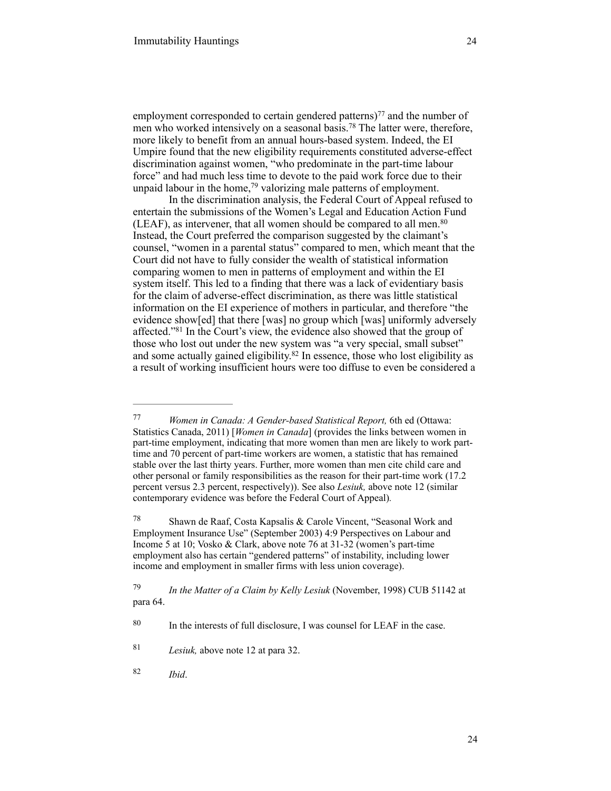employment corresponded to certain gendered patterns)<sup> $77$ </sup> and the number of men who worked intensively on a seasonal basis.<sup>78</sup> The latter were, therefore, more likely to benefit from an annual hours-based system. Indeed, the EI Umpire found that the new eligibility requirements constituted adverse-effect discrimination against women, "who predominate in the part-time labour force" and had much less time to devote to the paid work force due to their unpaid labour in the home,<sup>79</sup> valorizing male patterns of employment.

In the discrimination analysis, the Federal Court of Appeal refused to entertain the submissions of the Women's Legal and Education Action Fund (LEAF), as intervener, that all women should be compared to all men.<sup>80</sup> Instead, the Court preferred the comparison suggested by the claimant's counsel, "women in a parental status" compared to men, which meant that the Court did not have to fully consider the wealth of statistical information comparing women to men in patterns of employment and within the EI system itself. This led to a finding that there was a lack of evidentiary basis for the claim of adverse-effect discrimination, as there was little statistical information on the EI experience of mothers in particular, and therefore "the evidence show[ed] that there [was] no group which [was] uniformly adversely affected."<sup>81</sup> In the Court's view, the evidence also showed that the group of those who lost out under the new system was "a very special, small subset" and some actually gained eligibility.<sup>82</sup> In essence, those who lost eligibility as a result of working insufficient hours were too diffuse to even be considered a

*Women in Canada: A Gender-based Statistical Report,* 6th ed (Ottawa: 77 Statistics Canada, 2011) [*Women in Canada*] (provides the links between women in part-time employment, indicating that more women than men are likely to work parttime and 70 percent of part-time workers are women, a statistic that has remained stable over the last thirty years. Further, more women than men cite child care and other personal or family responsibilities as the reason for their part-time work (17.2 percent versus 2.3 percent, respectively)). See also *Lesiuk,* above note 12 (similar contemporary evidence was before the Federal Court of Appeal)*.*

<sup>&</sup>lt;sup>78</sup> Shawn de Raaf, Costa Kapsalis & Carole Vincent, "Seasonal Work and Employment Insurance Use" (September 2003) 4:9 Perspectives on Labour and Income 5 at 10; Vosko & Clark, above note 76 at 31-32 (women's part-time employment also has certain "gendered patterns" of instability, including lower income and employment in smaller firms with less union coverage).

<sup>&</sup>lt;sup>79</sup> *In the Matter of a Claim by Kelly Lesiuk* (November, 1998) CUB 51142 at para 64.

 $80$  In the interests of full disclosure, I was counsel for LEAF in the case.

<sup>&</sup>lt;sup>81</sup> *Lesiuk*, above note 12 at para 32.

*Ibid*. <sup>82</sup>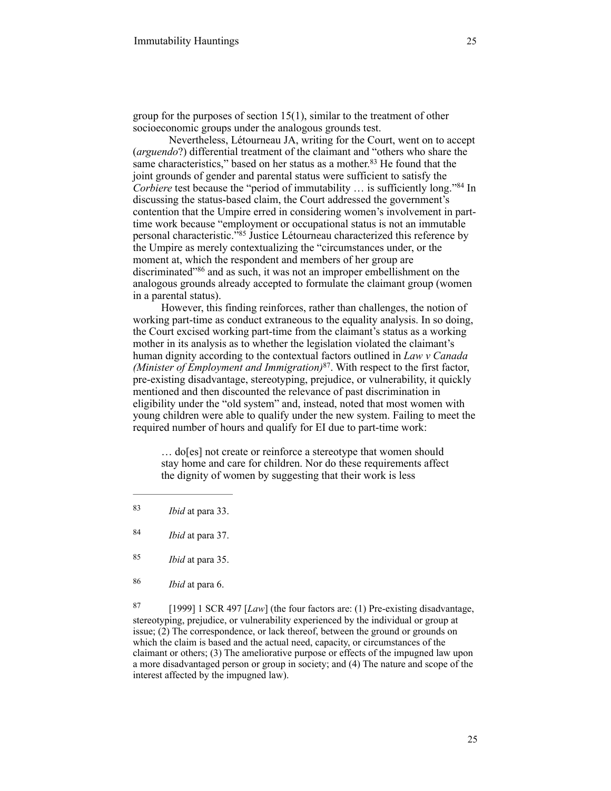group for the purposes of section 15(1), similar to the treatment of other socioeconomic groups under the analogous grounds test.

Nevertheless, Létourneau JA, writing for the Court, went on to accept (*arguendo*?) differential treatment of the claimant and "others who share the same characteristics," based on her status as a mother. $83$  He found that the joint grounds of gender and parental status were sufficient to satisfy the *Corbiere* test because the "period of immutability ... is sufficiently long."<sup>84</sup> In discussing the status-based claim, the Court addressed the government's contention that the Umpire erred in considering women's involvement in parttime work because "employment or occupational status is not an immutable personal characteristic.<sup> $385$ </sup> Justice Létourneau characterized this reference by the Umpire as merely contextualizing the "circumstances under, or the moment at, which the respondent and members of her group are discriminated"<sup>86</sup> and as such, it was not an improper embellishment on the analogous grounds already accepted to formulate the claimant group (women in a parental status).

However, this finding reinforces, rather than challenges, the notion of working part-time as conduct extraneous to the equality analysis. In so doing, the Court excised working part-time from the claimant's status as a working mother in its analysis as to whether the legislation violated the claimant's human dignity according to the contextual factors outlined in *Law v Canada (Minister of Employment and Immigration)*<sup>87</sup>. With respect to the first factor, pre-existing disadvantage, stereotyping, prejudice, or vulnerability, it quickly mentioned and then discounted the relevance of past discrimination in eligibility under the "old system" and, instead, noted that most women with young children were able to qualify under the new system. Failing to meet the required number of hours and qualify for EI due to part-time work:

… do[es] not create or reinforce a stereotype that women should stay home and care for children. Nor do these requirements affect the dignity of women by suggesting that their work is less

- *Ibid* at para 35. <sup>85</sup>
- *Ibid* at para 6. <sup>86</sup>

 [1999] 1 SCR 497 [*Law*] (the four factors are: (1) Pre-existing disadvantage, 87 stereotyping, prejudice, or vulnerability experienced by the individual or group at issue; (2) The correspondence, or lack thereof, between the ground or grounds on which the claim is based and the actual need, capacity, or circumstances of the claimant or others; (3) The ameliorative purpose or effects of the impugned law upon a more disadvantaged person or group in society; and (4) The nature and scope of the interest affected by the impugned law).

<sup>&</sup>lt;sup>83</sup> *Ibid* at para 33.

*Ibid* at para 37. <sup>84</sup>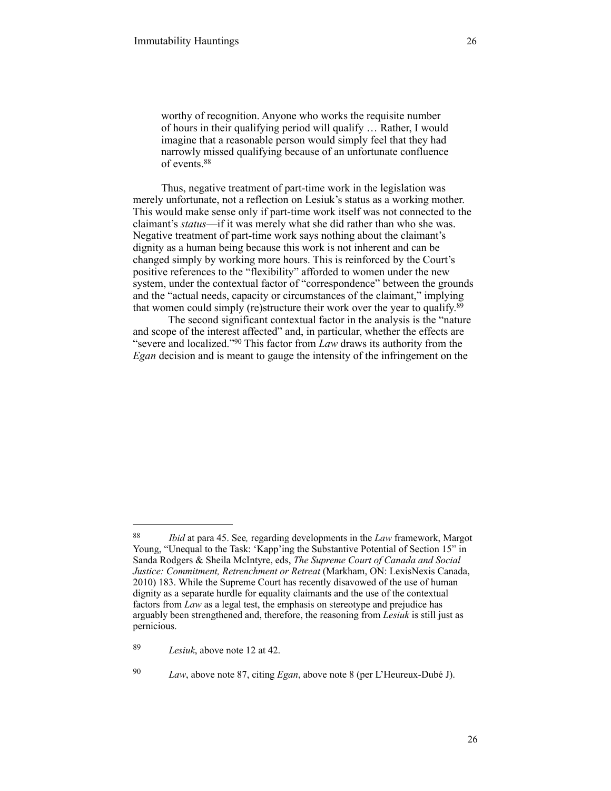worthy of recognition. Anyone who works the requisite number of hours in their qualifying period will qualify … Rather, I would imagine that a reasonable person would simply feel that they had narrowly missed qualifying because of an unfortunate confluence of events.88

Thus, negative treatment of part-time work in the legislation was merely unfortunate, not a reflection on Lesiuk's status as a working mother. This would make sense only if part-time work itself was not connected to the claimant's *status*—if it was merely what she did rather than who she was. Negative treatment of part-time work says nothing about the claimant's dignity as a human being because this work is not inherent and can be changed simply by working more hours. This is reinforced by the Court's positive references to the "flexibility" afforded to women under the new system, under the contextual factor of "correspondence" between the grounds and the "actual needs, capacity or circumstances of the claimant," implying that women could simply (re)structure their work over the year to qualify.89

The second significant contextual factor in the analysis is the "nature and scope of the interest affected" and, in particular, whether the effects are "severe and localized."<sup>90</sup> This factor from *Law* draws its authority from the *Egan* decision and is meant to gauge the intensity of the infringement on the

*Ibid* at para 45. See*,* regarding developments in the *Law* framework, Margot 88 Young, "Unequal to the Task: 'Kapp'ing the Substantive Potential of Section 15" in Sanda Rodgers & Sheila McIntyre, eds, *The Supreme Court of Canada and Social Justice: Commitment, Retrenchment or Retreat* (Markham, ON: LexisNexis Canada, 2010) 183. While the Supreme Court has recently disavowed of the use of human dignity as a separate hurdle for equality claimants and the use of the contextual factors from *Law* as a legal test, the emphasis on stereotype and prejudice has arguably been strengthened and, therefore, the reasoning from *Lesiuk* is still just as pernicious.

*Lesiuk*, above note 12 at 42. 89

*Law*, above note 87, citing *Egan*, above note 8 (per L'Heureux-Dubé J). <sup>90</sup>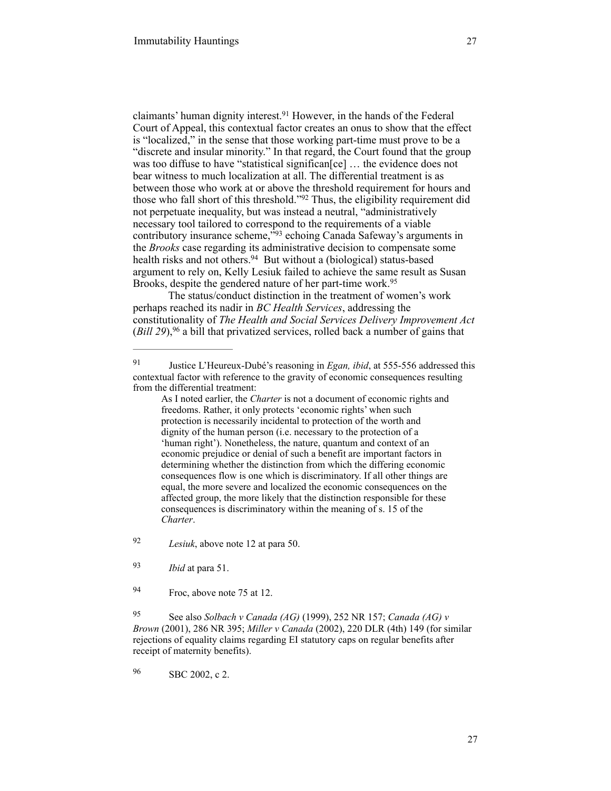claimants' human dignity interest.<sup>91</sup> However, in the hands of the Federal Court of Appeal, this contextual factor creates an onus to show that the effect is "localized," in the sense that those working part-time must prove to be a "discrete and insular minority." In that regard, the Court found that the group was too diffuse to have "statistical significan[ce] ... the evidence does not bear witness to much localization at all. The differential treatment is as between those who work at or above the threshold requirement for hours and those who fall short of this threshold." $92$  Thus, the eligibility requirement did not perpetuate inequality, but was instead a neutral, "administratively necessary tool tailored to correspond to the requirements of a viable contributory insurance scheme,<sup>193</sup> echoing Canada Safeway's arguments in the *Brooks* case regarding its administrative decision to compensate some health risks and not others.<sup>94</sup> But without a (biological) status-based argument to rely on, Kelly Lesiuk failed to achieve the same result as Susan Brooks, despite the gendered nature of her part-time work.<sup>95</sup>

The status/conduct distinction in the treatment of women's work perhaps reached its nadir in *BC Health Services*, addressing the constitutionality of *The Health and Social Services Delivery Improvement Act*  $(Bill 29)$ , <sup>96</sup> a bill that privatized services, rolled back a number of gains that

96 SBC 2002, c 2.

Justice L'Heureux-Dubé's reasoning in *Egan, ibid*, at 555-556 addressed this 91 contextual factor with reference to the gravity of economic consequences resulting from the differential treatment:

As I noted earlier, the *Charter* is not a document of economic rights and freedoms. Rather, it only protects 'economic rights' when such protection is necessarily incidental to protection of the worth and dignity of the human person (i.e. necessary to the protection of a 'human right'). Nonetheless, the nature, quantum and context of an economic prejudice or denial of such a benefit are important factors in determining whether the distinction from which the differing economic consequences flow is one which is discriminatory. If all other things are equal, the more severe and localized the economic consequences on the affected group, the more likely that the distinction responsible for these consequences is discriminatory within the meaning of s. 15 of the *Charter*.

*Lesiuk*, above note 12 at para 50. <sup>92</sup>

<sup>&</sup>lt;sup>93</sup> *Ibid* at para 51.

<sup>94</sup> Froc, above note 75 at 12.

See also *Solbach v Canada (AG)* (1999), 252 NR 157; *Canada (AG) v* <sup>95</sup> *Brown* (2001), 286 NR 395; *Miller v Canada* (2002), 220 DLR (4th) 149 (for similar rejections of equality claims regarding EI statutory caps on regular benefits after receipt of maternity benefits).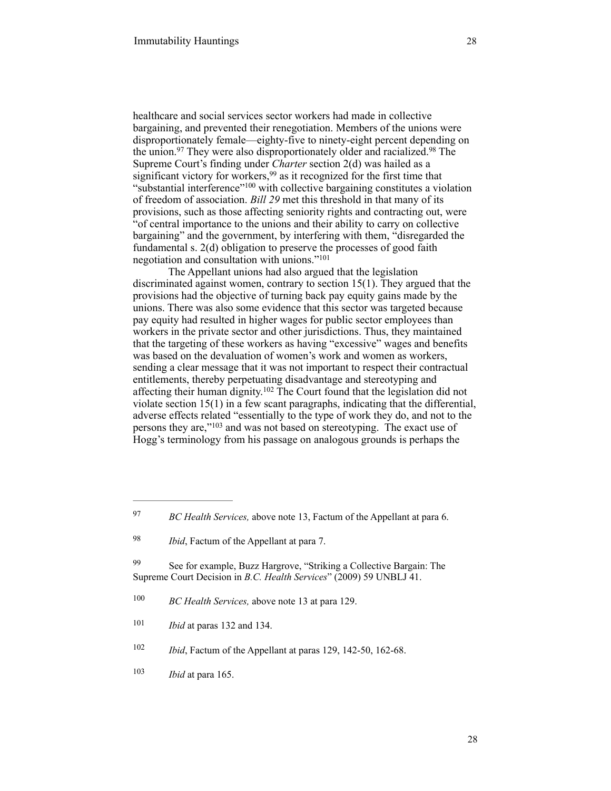healthcare and social services sector workers had made in collective bargaining, and prevented their renegotiation. Members of the unions were disproportionately female—eighty-five to ninety-eight percent depending on the union.<sup>97</sup> They were also disproportionately older and racialized.<sup>98</sup> The Supreme Court's finding under *Charter* section 2(d) was hailed as a significant victory for workers,  $99$  as it recognized for the first time that "substantial interference"<sup> $100$ </sup> with collective bargaining constitutes a violation of freedom of association. *Bill 29* met this threshold in that many of its provisions, such as those affecting seniority rights and contracting out, were "of central importance to the unions and their ability to carry on collective bargaining" and the government, by interfering with them, "disregarded the fundamental s. 2(d) obligation to preserve the processes of good faith negotiation and consultation with unions."101

The Appellant unions had also argued that the legislation discriminated against women, contrary to section 15(1). They argued that the provisions had the objective of turning back pay equity gains made by the unions. There was also some evidence that this sector was targeted because pay equity had resulted in higher wages for public sector employees than workers in the private sector and other jurisdictions. Thus, they maintained that the targeting of these workers as having "excessive" wages and benefits was based on the devaluation of women's work and women as workers, sending a clear message that it was not important to respect their contractual entitlements, thereby perpetuating disadvantage and stereotyping and affecting their human dignity.<sup> $102$ </sup> The Court found that the legislation did not violate section 15(1) in a few scant paragraphs, indicating that the differential, adverse effects related "essentially to the type of work they do, and not to the persons they are,"<sup>103</sup> and was not based on stereotyping. The exact use of Hogg's terminology from his passage on analogous grounds is perhaps the

<sup>&</sup>lt;sup>97</sup> *BC Health Services, above note 13, Factum of the Appellant at para 6.* 

<sup>&</sup>lt;sup>98</sup> *Ibid*, Factum of the Appellant at para 7.

<sup>99</sup> See for example, Buzz Hargrove, "Striking a Collective Bargain: The Supreme Court Decision in *B.C. Health Services*" (2009) 59 UNBLJ 41.

<sup>&</sup>lt;sup>100</sup> *BC Health Services, above note 13 at para 129.* 

 $101$  *Ibid* at paras 132 and 134.

<sup>&</sup>lt;sup>102</sup> *Ibid*, Factum of the Appellant at paras 129, 142-50, 162-68.

 $103$  *Ibid* at para 165.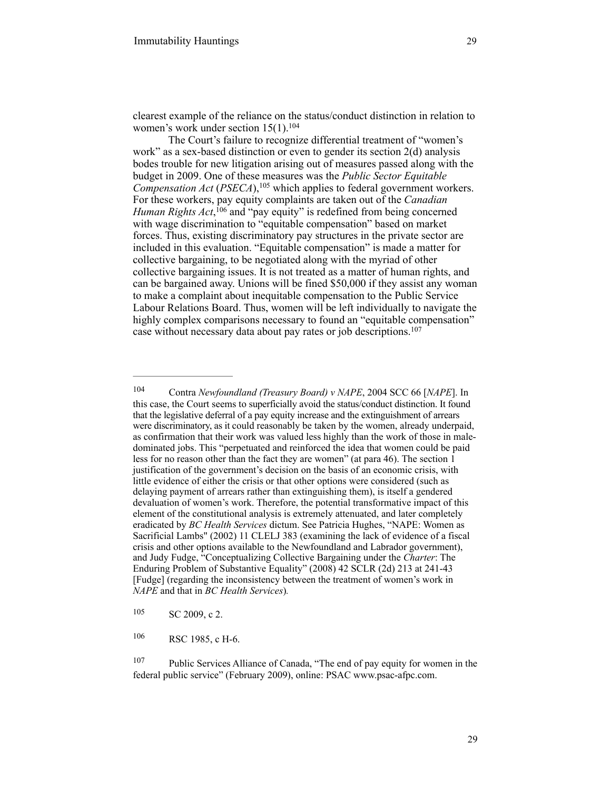clearest example of the reliance on the status/conduct distinction in relation to women's work under section 15(1).<sup>104</sup>

The Court's failure to recognize differential treatment of "women's work" as a sex-based distinction or even to gender its section 2(d) analysis bodes trouble for new litigation arising out of measures passed along with the budget in 2009. One of these measures was the *Public Sector Equitable Compensation Act (PSECA)*, <sup>105</sup> which applies to federal government workers. For these workers, pay equity complaints are taken out of the *Canadian Human Rights Act*, <sup>106</sup> and "pay equity" is redefined from being concerned with wage discrimination to "equitable compensation" based on market forces. Thus, existing discriminatory pay structures in the private sector are included in this evaluation. "Equitable compensation" is made a matter for collective bargaining, to be negotiated along with the myriad of other collective bargaining issues. It is not treated as a matter of human rights, and can be bargained away. Unions will be fined \$50,000 if they assist any woman to make a complaint about inequitable compensation to the Public Service Labour Relations Board. Thus, women will be left individually to navigate the highly complex comparisons necessary to found an "equitable compensation" case without necessary data about pay rates or job descriptions.107

<sup>&</sup>lt;sup>104</sup> Contra *Newfoundland (Treasury Board) v NAPE*, 2004 SCC 66 [*NAPE*]. In this case, the Court seems to superficially avoid the status/conduct distinction. It found that the legislative deferral of a pay equity increase and the extinguishment of arrears were discriminatory, as it could reasonably be taken by the women, already underpaid, as confirmation that their work was valued less highly than the work of those in maledominated jobs. This "perpetuated and reinforced the idea that women could be paid less for no reason other than the fact they are women" (at para 46). The section 1 justification of the government's decision on the basis of an economic crisis, with little evidence of either the crisis or that other options were considered (such as delaying payment of arrears rather than extinguishing them), is itself a gendered devaluation of women's work. Therefore, the potential transformative impact of this element of the constitutional analysis is extremely attenuated, and later completely eradicated by *BC Health Services* dictum. See Patricia Hughes, "NAPE: Women as Sacrificial Lambs" (2002) 11 CLELJ 383 (examining the lack of evidence of a fiscal crisis and other options available to the Newfoundland and Labrador government), and Judy Fudge, "Conceptualizing Collective Bargaining under the *Charter*: The Enduring Problem of Substantive Equality" (2008) 42 SCLR (2d) 213 at 241-43 [Fudge] (regarding the inconsistency between the treatment of women's work in *NAPE* and that in *BC Health Services*)*.*

<sup>105</sup> SC 2009, c 2.

<sup>106</sup> RSC 1985, c H-6.

<sup>&</sup>lt;sup>107</sup> Public Services Alliance of Canada, "The end of pay equity for women in the federal public service" (February 2009), online: PSAC www.psac-afpc.com.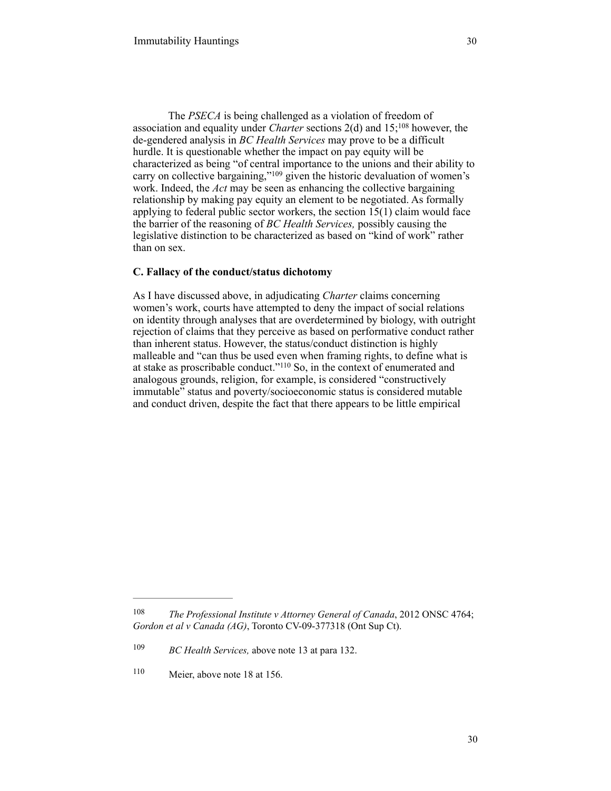The *PSECA* is being challenged as a violation of freedom of association and equality under *Charter* sections  $2(d)$  and  $15$ ; <sup>108</sup> however, the de-gendered analysis in *BC Health Services* may prove to be a difficult hurdle. It is questionable whether the impact on pay equity will be characterized as being "of central importance to the unions and their ability to carry on collective bargaining," $109$  given the historic devaluation of women's work. Indeed, the *Act* may be seen as enhancing the collective bargaining relationship by making pay equity an element to be negotiated. As formally applying to federal public sector workers, the section 15(1) claim would face the barrier of the reasoning of *BC Health Services,* possibly causing the legislative distinction to be characterized as based on "kind of work" rather than on sex.

## **C. Fallacy of the conduct/status dichotomy**

As I have discussed above, in adjudicating *Charter* claims concerning women's work, courts have attempted to deny the impact of social relations on identity through analyses that are overdetermined by biology, with outright rejection of claims that they perceive as based on performative conduct rather than inherent status. However, the status/conduct distinction is highly malleable and "can thus be used even when framing rights, to define what is at stake as proscribable conduct."<sup>110</sup> So, in the context of enumerated and analogous grounds, religion, for example, is considered "constructively immutable" status and poverty/socioeconomic status is considered mutable and conduct driven, despite the fact that there appears to be little empirical

<sup>&</sup>lt;sup>108</sup> *The Professional Institute v Attorney General of Canada*, 2012 ONSC 4764; *Gordon et al v Canada (AG)*, Toronto CV-09-377318 (Ont Sup Ct).

<sup>&</sup>lt;sup>109</sup> *BC Health Services, above note 13 at para 132.* 

 $110$  Meier, above note 18 at 156.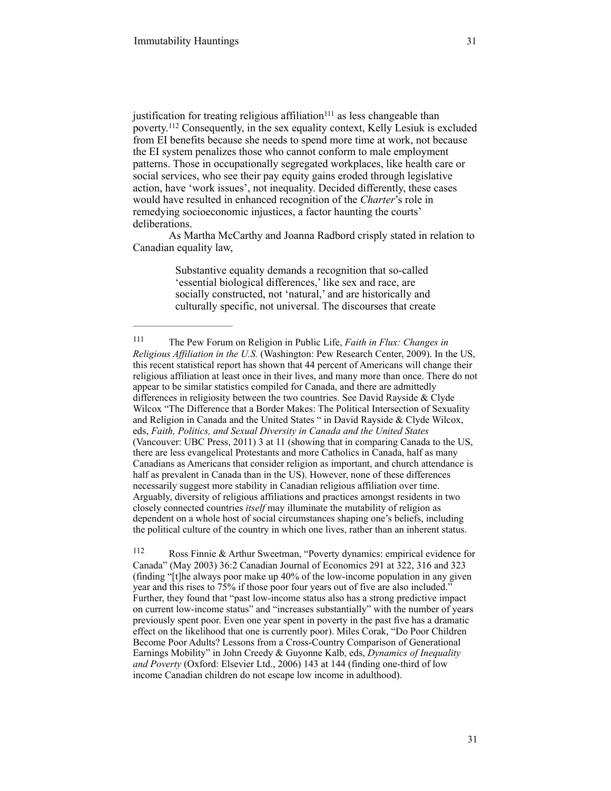justification for treating religious affiliation $111$  as less changeable than poverty.<sup>112</sup> Consequently, in the sex equality context, Kelly Lesiuk is excluded from EI benefits because she needs to spend more time at work, not because the EI system penalizes those who cannot conform to male employment patterns. Those in occupationally segregated workplaces, like health care or social services, who see their pay equity gains eroded through legislative action, have 'work issues', not inequality. Decided differently, these cases would have resulted in enhanced recognition of the *Charter*'s role in remedying socioeconomic injustices, a factor haunting the courts' deliberations.

As Martha McCarthy and Joanna Radbord crisply stated in relation to Canadian equality law,

> Substantive equality demands a recognition that so-called 'essential biological differences,' like sex and race, are socially constructed, not 'natural,' and are historically and culturally specific, not universal. The discourses that create

The Pew Forum on Religion in Public Life, *Faith in Flux: Changes in* <sup>111</sup> *Religious Affiliation in the U.S.* (Washington: Pew Research Center, 2009). In the US, this recent statistical report has shown that 44 percent of Americans will change their religious affiliation at least once in their lives, and many more than once. There do not appear to be similar statistics compiled for Canada, and there are admittedly differences in religiosity between the two countries. See David Rayside & Clyde Wilcox "The Difference that a Border Makes: The Political Intersection of Sexuality and Religion in Canada and the United States " in David Rayside & Clyde Wilcox, eds, *Faith, Politics, and Sexual Diversity in Canada and the United States*  (Vancouver: UBC Press, 2011) 3 at 11 (showing that in comparing Canada to the US, there are less evangelical Protestants and more Catholics in Canada, half as many Canadians as Americans that consider religion as important, and church attendance is half as prevalent in Canada than in the US). However, none of these differences necessarily suggest more stability in Canadian religious affiliation over time. Arguably, diversity of religious affiliations and practices amongst residents in two closely connected countries *itself* may illuminate the mutability of religion as dependent on a whole host of social circumstances shaping one's beliefs, including the political culture of the country in which one lives, rather than an inherent status.

Ross Finnie & Arthur Sweetman, "Poverty dynamics: empirical evidence for 112 Canada" (May 2003) 36:2 Canadian Journal of Economics 291 at 322, 316 and 323 (finding "[t]he always poor make up 40% of the low-income population in any given year and this rises to 75% if those poor four years out of five are also included." Further, they found that "past low-income status also has a strong predictive impact on current low-income status" and "increases substantially" with the number of years previously spent poor. Even one year spent in poverty in the past five has a dramatic effect on the likelihood that one is currently poor). Miles Corak, "Do Poor Children Become Poor Adults? Lessons from a Cross-Country Comparison of Generational Earnings Mobility" in John Creedy & Guyonne Kalb, eds, *Dynamics of Inequality and Poverty* (Oxford: Elsevier Ltd., 2006) 143 at 144 (finding one-third of low income Canadian children do not escape low income in adulthood).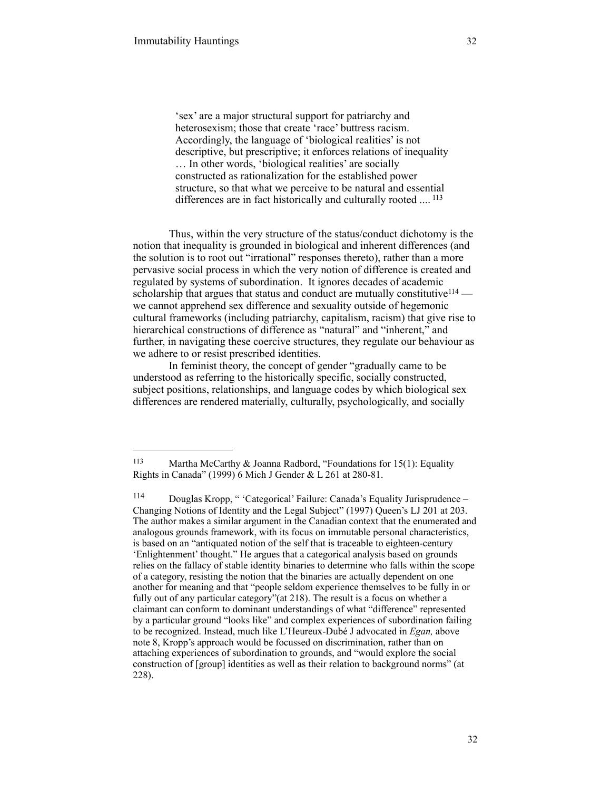'sex' are a major structural support for patriarchy and heterosexism; those that create 'race' buttress racism. Accordingly, the language of 'biological realities' is not descriptive, but prescriptive; it enforces relations of inequality … In other words, 'biological realities' are socially constructed as rationalization for the established power structure, so that what we perceive to be natural and essential differences are in fact historically and culturally rooted .... <sup>113</sup>

Thus, within the very structure of the status/conduct dichotomy is the notion that inequality is grounded in biological and inherent differences (and the solution is to root out "irrational" responses thereto), rather than a more pervasive social process in which the very notion of difference is created and regulated by systems of subordination. It ignores decades of academic scholarship that argues that status and conduct are mutually constitutive<sup>114</sup> we cannot apprehend sex difference and sexuality outside of hegemonic cultural frameworks (including patriarchy, capitalism, racism) that give rise to hierarchical constructions of difference as "natural" and "inherent," and further, in navigating these coercive structures, they regulate our behaviour as we adhere to or resist prescribed identities.

In feminist theory, the concept of gender "gradually came to be understood as referring to the historically specific, socially constructed, subject positions, relationships, and language codes by which biological sex differences are rendered materially, culturally, psychologically, and socially

<sup>&</sup>lt;sup>113</sup> Martha McCarthy & Joanna Radbord, "Foundations for 15(1): Equality Rights in Canada" (1999) 6 Mich J Gender & L 261 at 280-81.

<sup>&</sup>lt;sup>114</sup> Douglas Kropp, " 'Categorical' Failure: Canada's Equality Jurisprudence – Changing Notions of Identity and the Legal Subject" (1997) Queen's LJ 201 at 203. The author makes a similar argument in the Canadian context that the enumerated and analogous grounds framework, with its focus on immutable personal characteristics, is based on an "antiquated notion of the self that is traceable to eighteen-century 'Enlightenment' thought." He argues that a categorical analysis based on grounds relies on the fallacy of stable identity binaries to determine who falls within the scope of a category, resisting the notion that the binaries are actually dependent on one another for meaning and that "people seldom experience themselves to be fully in or fully out of any particular category"(at 218). The result is a focus on whether a claimant can conform to dominant understandings of what "difference" represented by a particular ground "looks like" and complex experiences of subordination failing to be recognized. Instead, much like L'Heureux-Dubé J advocated in *Egan,* above note 8, Kropp's approach would be focussed on discrimination, rather than on attaching experiences of subordination to grounds, and "would explore the social construction of [group] identities as well as their relation to background norms" (at 228).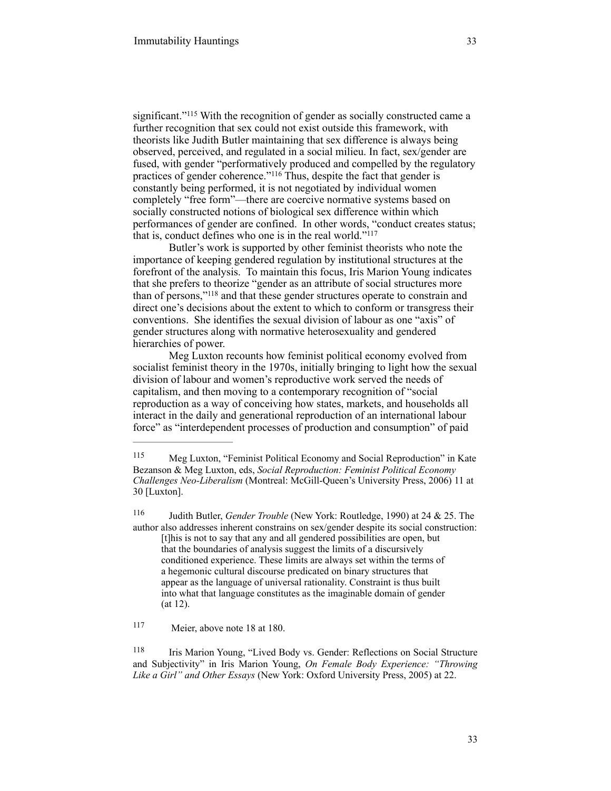significant."<sup>115</sup> With the recognition of gender as socially constructed came a further recognition that sex could not exist outside this framework, with theorists like Judith Butler maintaining that sex difference is always being observed, perceived, and regulated in a social milieu. In fact, sex/gender are fused, with gender "performatively produced and compelled by the regulatory practices of gender coherence."<sup>116</sup> Thus, despite the fact that gender is constantly being performed, it is not negotiated by individual women completely "free form"—there are coercive normative systems based on socially constructed notions of biological sex difference within which performances of gender are confined. In other words, "conduct creates status; that is, conduct defines who one is in the real world."117

Butler's work is supported by other feminist theorists who note the importance of keeping gendered regulation by institutional structures at the forefront of the analysis. To maintain this focus, Iris Marion Young indicates that she prefers to theorize "gender as an attribute of social structures more than of persons,"<sup>118</sup> and that these gender structures operate to constrain and direct one's decisions about the extent to which to conform or transgress their conventions. She identifies the sexual division of labour as one "axis" of gender structures along with normative heterosexuality and gendered hierarchies of power.

Meg Luxton recounts how feminist political economy evolved from socialist feminist theory in the 1970s, initially bringing to light how the sexual division of labour and women's reproductive work served the needs of capitalism, and then moving to a contemporary recognition of "social reproduction as a way of conceiving how states, markets, and households all interact in the daily and generational reproduction of an international labour force" as "interdependent processes of production and consumption" of paid

<sup>116</sup> Judith Butler, *Gender Trouble* (New York: Routledge, 1990) at 24 & 25. The author also addresses inherent constrains on sex/gender despite its social construction: [t]his is not to say that any and all gendered possibilities are open, but that the boundaries of analysis suggest the limits of a discursively conditioned experience. These limits are always set within the terms of a hegemonic cultural discourse predicated on binary structures that appear as the language of universal rationality. Constraint is thus built into what that language constitutes as the imaginable domain of gender (at 12).

117 Meier, above note 18 at 180.

118 Iris Marion Young, "Lived Body vs. Gender: Reflections on Social Structure and Subjectivity" in Iris Marion Young, *On Female Body Experience: "Throwing Like a Girl" and Other Essays* (New York: Oxford University Press, 2005) at 22.

<sup>115</sup> Meg Luxton, "Feminist Political Economy and Social Reproduction" in Kate Bezanson & Meg Luxton, eds, *Social Reproduction: Feminist Political Economy Challenges Neo-Liberalism* (Montreal: McGill-Queen's University Press, 2006) 11 at 30 [Luxton].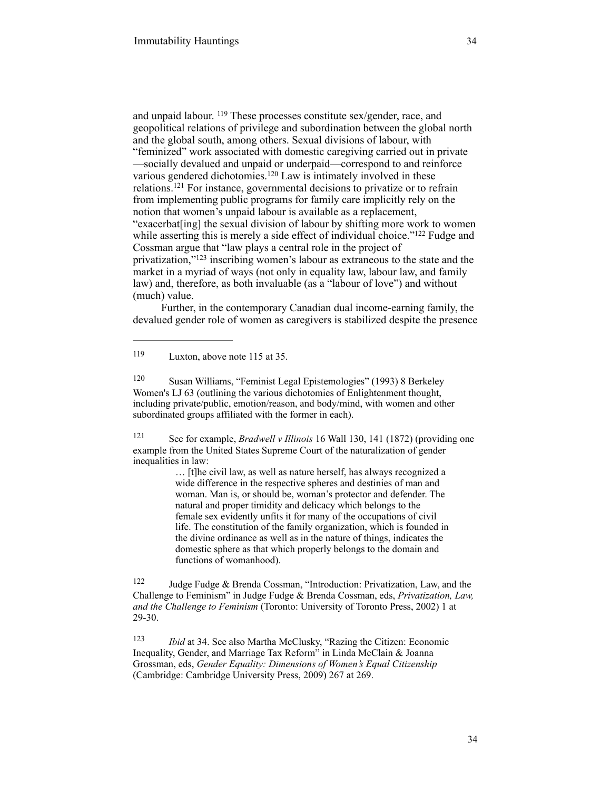and unpaid labour. <sup>119</sup> These processes constitute sex/gender, race, and geopolitical relations of privilege and subordination between the global north and the global south, among others. Sexual divisions of labour, with "feminized" work associated with domestic caregiving carried out in private —socially devalued and unpaid or underpaid—correspond to and reinforce various gendered dichotomies.<sup>120</sup> Law is intimately involved in these relations.<sup>121</sup> For instance, governmental decisions to privatize or to refrain from implementing public programs for family care implicitly rely on the notion that women's unpaid labour is available as a replacement, "exacerbat[ing] the sexual division of labour by shifting more work to women while asserting this is merely a side effect of individual choice."<sup>122</sup> Fudge and Cossman argue that "law plays a central role in the project of privatization," $123$  inscribing women's labour as extraneous to the state and the market in a myriad of ways (not only in equality law, labour law, and family law) and, therefore, as both invaluable (as a "labour of love") and without (much) value.

Further, in the contemporary Canadian dual income-earning family, the devalued gender role of women as caregivers is stabilized despite the presence

 $119$  Luxton, above note 115 at 35.

<sup>120</sup> Susan Williams, "Feminist Legal Epistemologies" (1993) 8 Berkeley Women's LJ 63 (outlining the various dichotomies of Enlightenment thought, including private/public, emotion/reason, and body/mind, with women and other subordinated groups affiliated with the former in each).

<sup>121</sup> See for example, *Bradwell v Illinois* 16 Wall 130, 141 (1872) (providing one example from the United States Supreme Court of the naturalization of gender inequalities in law:

> … [t]he civil law, as well as nature herself, has always recognized a wide difference in the respective spheres and destinies of man and woman. Man is, or should be, woman's protector and defender. The natural and proper timidity and delicacy which belongs to the female sex evidently unfits it for many of the occupations of civil life. The constitution of the family organization, which is founded in the divine ordinance as well as in the nature of things, indicates the domestic sphere as that which properly belongs to the domain and functions of womanhood).

 $122$  Judge Fudge & Brenda Cossman, "Introduction: Privatization, Law, and the Challenge to Feminism" in Judge Fudge & Brenda Cossman, eds, *Privatization, Law, and the Challenge to Feminism* (Toronto: University of Toronto Press, 2002) 1 at 29-30.

<sup>123</sup> *Ibid* at 34. See also Martha McClusky, "Razing the Citizen: Economic Inequality, Gender, and Marriage Tax Reform" in Linda McClain & Joanna Grossman, eds, *Gender Equality: Dimensions of Women's Equal Citizenship*  (Cambridge: Cambridge University Press, 2009) 267 at 269.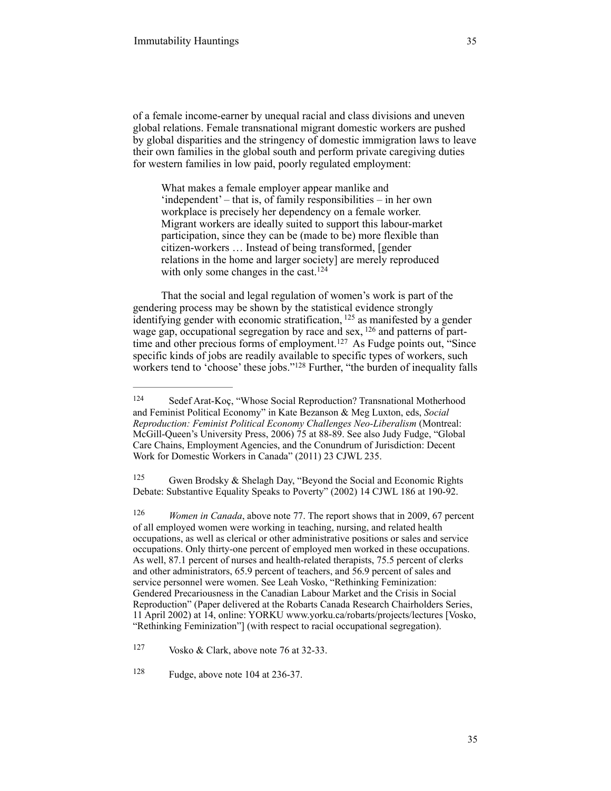of a female income-earner by unequal racial and class divisions and uneven global relations. Female transnational migrant domestic workers are pushed by global disparities and the stringency of domestic immigration laws to leave their own families in the global south and perform private caregiving duties for western families in low paid, poorly regulated employment:

What makes a female employer appear manlike and 'independent' – that is, of family responsibilities – in her own workplace is precisely her dependency on a female worker. Migrant workers are ideally suited to support this labour-market participation, since they can be (made to be) more flexible than citizen-workers … Instead of being transformed, [gender relations in the home and larger society] are merely reproduced with only some changes in the cast.<sup>124</sup>

That the social and legal regulation of women's work is part of the gendering process may be shown by the statistical evidence strongly identifying gender with economic stratification,  $125$  as manifested by a gender wage gap, occupational segregation by race and sex,  $126$  and patterns of parttime and other precious forms of employment.<sup>127</sup> As Fudge points out, "Since specific kinds of jobs are readily available to specific types of workers, such workers tend to 'choose' these jobs."<sup>128</sup> Further, "the burden of inequality falls

<sup>125</sup> Gwen Brodsky & Shelagh Day, "Beyond the Social and Economic Rights Debate: Substantive Equality Speaks to Poverty" (2002) 14 CJWL 186 at 190-92.

<sup>126</sup> *Women in Canada*, above note 77. The report shows that in 2009, 67 percent of all employed women were working in teaching, nursing, and related health occupations, as well as clerical or other administrative positions or sales and service occupations. Only thirty-one percent of employed men worked in these occupations. As well, 87.1 percent of nurses and health-related therapists, 75.5 percent of clerks and other administrators, 65.9 percent of teachers, and 56.9 percent of sales and service personnel were women. See Leah Vosko, "Rethinking Feminization: Gendered Precariousness in the Canadian Labour Market and the Crisis in Social Reproduction" (Paper delivered at the Robarts Canada Research Chairholders Series, 11 April 2002) at 14, online: YORKU www.yorku.ca/robarts/projects/lectures [Vosko, "Rethinking Feminization"] (with respect to racial occupational segregation).

<sup>124</sup> Sedef Arat-Koç, "Whose Social Reproduction? Transnational Motherhood and Feminist Political Economy" in Kate Bezanson & Meg Luxton, eds, *Social Reproduction: Feminist Political Economy Challenges Neo-Liberalism* (Montreal: McGill-Queen's University Press, 2006) 75 at 88-89. See also Judy Fudge, "Global Care Chains, Employment Agencies, and the Conundrum of Jurisdiction: Decent Work for Domestic Workers in Canada" (2011) 23 CJWL 235.

 $\frac{127}{127}$  Vosko & Clark, above note 76 at 32-33.

 $128$  Fudge, above note 104 at 236-37.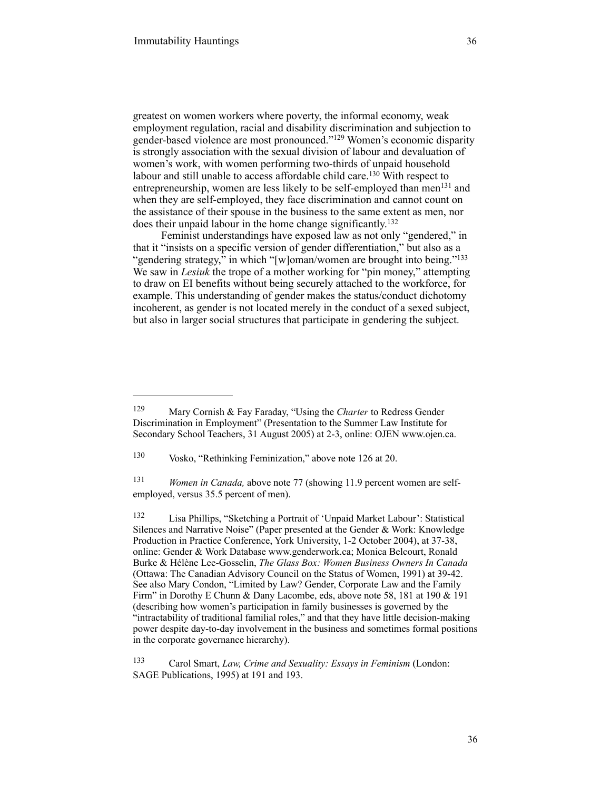greatest on women workers where poverty, the informal economy, weak employment regulation, racial and disability discrimination and subjection to gender-based violence are most pronounced."<sup>129</sup> Women's economic disparity is strongly association with the sexual division of labour and devaluation of women's work, with women performing two-thirds of unpaid household labour and still unable to access affordable child care.<sup>130</sup> With respect to entrepreneurship, women are less likely to be self-employed than men $^{131}$  and when they are self-employed, they face discrimination and cannot count on the assistance of their spouse in the business to the same extent as men, nor does their unpaid labour in the home change significantly. 132

Feminist understandings have exposed law as not only "gendered," in that it "insists on a specific version of gender differentiation," but also as a "gendering strategy," in which "[w]oman/women are brought into being."<sup>133</sup> We saw in *Lesiuk* the trope of a mother working for "pin money," attempting to draw on EI benefits without being securely attached to the workforce, for example. This understanding of gender makes the status/conduct dichotomy incoherent, as gender is not located merely in the conduct of a sexed subject, but also in larger social structures that participate in gendering the subject.

<sup>129</sup> Mary Cornish & Fay Faraday, "Using the *Charter* to Redress Gender Discrimination in Employment" (Presentation to the Summer Law Institute for Secondary School Teachers, 31 August 2005) at 2-3, online: OJEN www.ojen.ca.

<sup>&</sup>lt;sup>130</sup> Vosko, "Rethinking Feminization," above note 126 at 20.

<sup>&</sup>lt;sup>131</sup> *Women in Canada, above note 77 (showing 11.9 percent women are self*employed, versus 35.5 percent of men).

Lisa Phillips, "Sketching a Portrait of 'Unpaid Market Labour': Statistical 132 Silences and Narrative Noise" (Paper presented at the Gender & Work: Knowledge Production in Practice Conference, York University, 1-2 October 2004), at 37-38, online: Gender & Work Database www.genderwork.ca; Monica Belcourt, Ronald Burke & Hélène Lee-Gosselin, *The Glass Box: Women Business Owners In Canada*  (Ottawa: The Canadian Advisory Council on the Status of Women, 1991) at 39-42. See also Mary Condon, "Limited by Law? Gender, Corporate Law and the Family Firm" in Dorothy E Chunn & Dany Lacombe, eds, above note 58, 181 at 190 & 191 (describing how women's participation in family businesses is governed by the "intractability of traditional familial roles," and that they have little decision-making power despite day-to-day involvement in the business and sometimes formal positions in the corporate governance hierarchy).

Carol Smart, *Law, Crime and Sexuality: Essays in Feminism* (London: 133 SAGE Publications, 1995) at 191 and 193.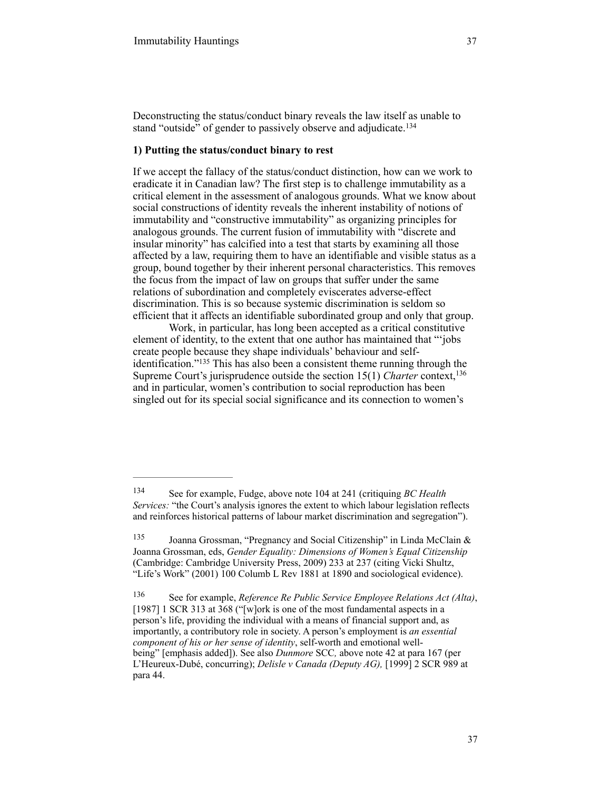Deconstructing the status/conduct binary reveals the law itself as unable to stand "outside" of gender to passively observe and adjudicate.<sup>134</sup>

### **1) Putting the status/conduct binary to rest**

If we accept the fallacy of the status/conduct distinction, how can we work to eradicate it in Canadian law? The first step is to challenge immutability as a critical element in the assessment of analogous grounds. What we know about social constructions of identity reveals the inherent instability of notions of immutability and "constructive immutability" as organizing principles for analogous grounds. The current fusion of immutability with "discrete and insular minority" has calcified into a test that starts by examining all those affected by a law, requiring them to have an identifiable and visible status as a group, bound together by their inherent personal characteristics. This removes the focus from the impact of law on groups that suffer under the same relations of subordination and completely eviscerates adverse-effect discrimination. This is so because systemic discrimination is seldom so efficient that it affects an identifiable subordinated group and only that group.

Work, in particular, has long been accepted as a critical constitutive element of identity, to the extent that one author has maintained that "'jobs create people because they shape individuals' behaviour and self- $\alpha$  identification."<sup>135</sup> This has also been a consistent theme running through the Supreme Court's jurisprudence outside the section 15(1) *Charter* context,<sup>136</sup> and in particular, women's contribution to social reproduction has been singled out for its special social significance and its connection to women's

See for example, Fudge, above note 104 at 241 (critiquing *BC Health* <sup>134</sup> *Services:* "the Court's analysis ignores the extent to which labour legislation reflects and reinforces historical patterns of labour market discrimination and segregation").

Joanna Grossman, "Pregnancy and Social Citizenship" in Linda McClain & 135 Joanna Grossman, eds, *Gender Equality: Dimensions of Women's Equal Citizenship*  (Cambridge: Cambridge University Press, 2009) 233 at 237 (citing Vicki Shultz, "Life's Work" (2001) 100 Columb L Rev 1881 at 1890 and sociological evidence).

See for example, *Reference Re Public Service Employee Relations Act (Alta)*, 136 [1987] 1 SCR 313 at 368 ("[w]ork is one of the most fundamental aspects in a person's life, providing the individual with a means of financial support and, as importantly, a contributory role in society. A person's employment is *an essential component of his or her sense of identity*, self-worth and emotional wellbeing" [emphasis added]). See also *Dunmore* SCC*,* above note 42 at para 167 (per L'Heureux-Dubé, concurring); *Delisle v Canada (Deputy AG),* [1999] 2 SCR 989 at para 44.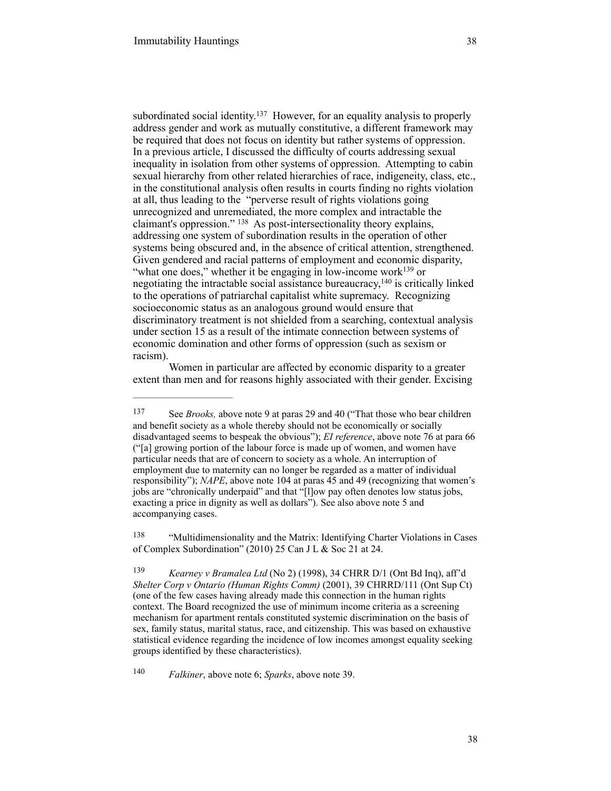subordinated social identity.<sup>137</sup> However, for an equality analysis to properly address gender and work as mutually constitutive, a different framework may be required that does not focus on identity but rather systems of oppression. In a previous article, I discussed the difficulty of courts addressing sexual inequality in isolation from other systems of oppression. Attempting to cabin sexual hierarchy from other related hierarchies of race, indigeneity, class, etc., in the constitutional analysis often results in courts finding no rights violation at all, thus leading to the "perverse result of rights violations going unrecognized and unremediated, the more complex and intractable the claimant's oppression."  $^{138}$  As post-intersectionality theory explains, addressing one system of subordination results in the operation of other systems being obscured and, in the absence of critical attention, strengthened. Given gendered and racial patterns of employment and economic disparity, "what one does," whether it be engaging in low-income work $^{139}$  or negotiating the intractable social assistance bureaucracy,  $140$  is critically linked to the operations of patriarchal capitalist white supremacy. Recognizing socioeconomic status as an analogous ground would ensure that

discriminatory treatment is not shielded from a searching, contextual analysis under section 15 as a result of the intimate connection between systems of economic domination and other forms of oppression (such as sexism or racism).

Women in particular are affected by economic disparity to a greater extent than men and for reasons highly associated with their gender. Excising

<sup>138</sup> "Multidimensionality and the Matrix: Identifying Charter Violations in Cases of Complex Subordination" (2010) 25 Can J L & Soc 21 at 24.

 *Falkiner*, above note 6; *Sparks*, above note 39. <sup>140</sup>

<sup>&</sup>lt;sup>137</sup> See *Brooks*, above note 9 at paras 29 and 40 ("That those who bear children and benefit society as a whole thereby should not be economically or socially disadvantaged seems to bespeak the obvious"); *EI reference*, above note 76 at para 66 ("[a] growing portion of the labour force is made up of women, and women have particular needs that are of concern to society as a whole. An interruption of employment due to maternity can no longer be regarded as a matter of individual responsibility"); *NAPE*, above note 104 at paras 45 and 49 (recognizing that women's jobs are "chronically underpaid" and that "[l]ow pay often denotes low status jobs, exacting a price in dignity as well as dollars"). See also above note 5 and accompanying cases.

<sup>&</sup>lt;sup>139</sup> *Kearney v Bramalea Ltd* (No 2) (1998), 34 CHRR D/1 (Ont Bd Inq), aff'd *Shelter Corp v Ontario (Human Rights Comm)* (2001), 39 CHRRD/111 (Ont Sup Ct) (one of the few cases having already made this connection in the human rights context. The Board recognized the use of minimum income criteria as a screening mechanism for apartment rentals constituted systemic discrimination on the basis of sex, family status, marital status, race, and citizenship. This was based on exhaustive statistical evidence regarding the incidence of low incomes amongst equality seeking groups identified by these characteristics).